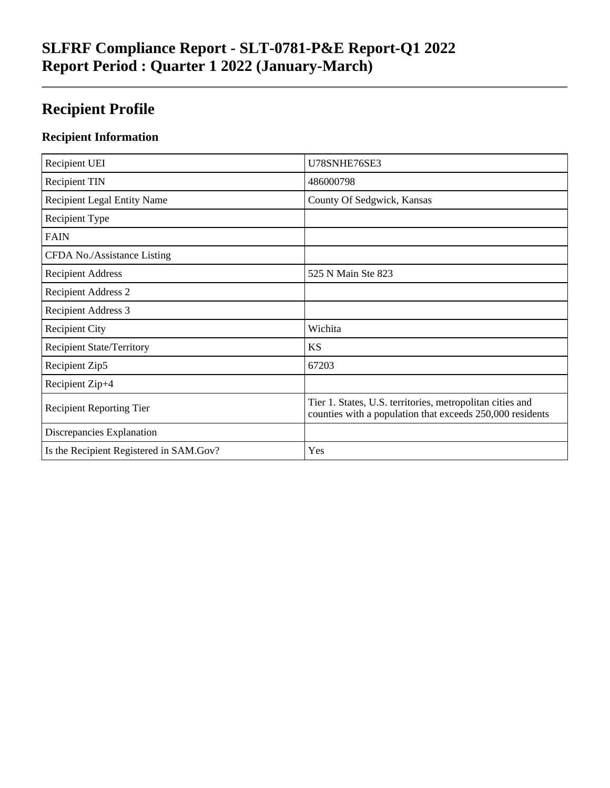## **Recipient Profile**

### **Recipient Information**

| Recipient UEI                           | U78SNHE76SE3                                                                                                           |
|-----------------------------------------|------------------------------------------------------------------------------------------------------------------------|
| <b>Recipient TIN</b>                    | 486000798                                                                                                              |
| <b>Recipient Legal Entity Name</b>      | County Of Sedgwick, Kansas                                                                                             |
| Recipient Type                          |                                                                                                                        |
| <b>FAIN</b>                             |                                                                                                                        |
| CFDA No./Assistance Listing             |                                                                                                                        |
| <b>Recipient Address</b>                | 525 N Main Ste 823                                                                                                     |
| <b>Recipient Address 2</b>              |                                                                                                                        |
| <b>Recipient Address 3</b>              |                                                                                                                        |
| <b>Recipient City</b>                   | Wichita                                                                                                                |
| <b>Recipient State/Territory</b>        | <b>KS</b>                                                                                                              |
| Recipient Zip5                          | 67203                                                                                                                  |
| Recipient Zip+4                         |                                                                                                                        |
| <b>Recipient Reporting Tier</b>         | Tier 1. States, U.S. territories, metropolitan cities and<br>counties with a population that exceeds 250,000 residents |
| Discrepancies Explanation               |                                                                                                                        |
| Is the Recipient Registered in SAM.Gov? | Yes                                                                                                                    |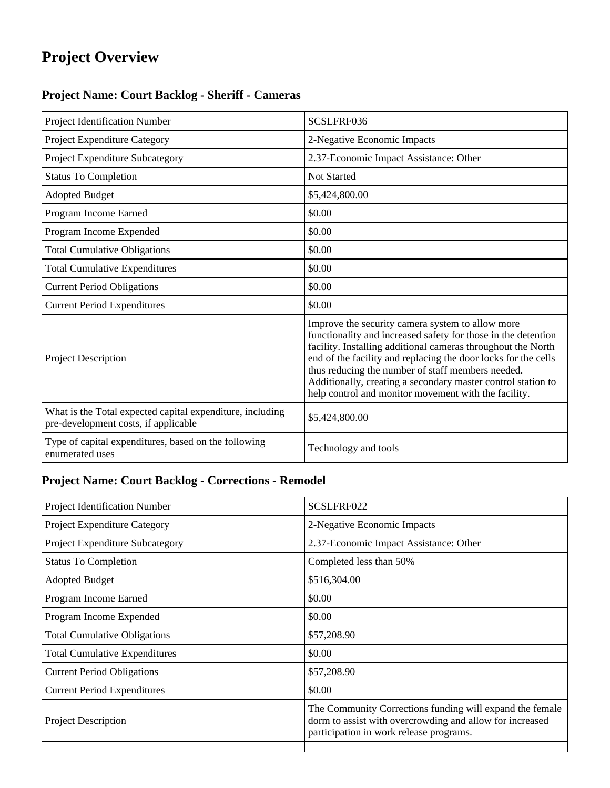# **Project Overview**

### **Project Name: Court Backlog - Sheriff - Cameras**

| Project Identification Number                                                                     | SCSLFRF036                                                                                                                                                                                                                                                                                                                                                                                                                       |
|---------------------------------------------------------------------------------------------------|----------------------------------------------------------------------------------------------------------------------------------------------------------------------------------------------------------------------------------------------------------------------------------------------------------------------------------------------------------------------------------------------------------------------------------|
| Project Expenditure Category                                                                      | 2-Negative Economic Impacts                                                                                                                                                                                                                                                                                                                                                                                                      |
| Project Expenditure Subcategory                                                                   | 2.37-Economic Impact Assistance: Other                                                                                                                                                                                                                                                                                                                                                                                           |
| <b>Status To Completion</b>                                                                       | <b>Not Started</b>                                                                                                                                                                                                                                                                                                                                                                                                               |
| <b>Adopted Budget</b>                                                                             | \$5,424,800.00                                                                                                                                                                                                                                                                                                                                                                                                                   |
| Program Income Earned                                                                             | \$0.00                                                                                                                                                                                                                                                                                                                                                                                                                           |
| Program Income Expended                                                                           | \$0.00                                                                                                                                                                                                                                                                                                                                                                                                                           |
| <b>Total Cumulative Obligations</b>                                                               | \$0.00                                                                                                                                                                                                                                                                                                                                                                                                                           |
| <b>Total Cumulative Expenditures</b>                                                              | \$0.00                                                                                                                                                                                                                                                                                                                                                                                                                           |
| <b>Current Period Obligations</b>                                                                 | \$0.00                                                                                                                                                                                                                                                                                                                                                                                                                           |
| <b>Current Period Expenditures</b>                                                                | \$0.00                                                                                                                                                                                                                                                                                                                                                                                                                           |
| Project Description                                                                               | Improve the security camera system to allow more<br>functionality and increased safety for those in the detention<br>facility. Installing additional cameras throughout the North<br>end of the facility and replacing the door locks for the cells<br>thus reducing the number of staff members needed.<br>Additionally, creating a secondary master control station to<br>help control and monitor movement with the facility. |
| What is the Total expected capital expenditure, including<br>pre-development costs, if applicable | \$5,424,800.00                                                                                                                                                                                                                                                                                                                                                                                                                   |
| Type of capital expenditures, based on the following<br>enumerated uses                           | Technology and tools                                                                                                                                                                                                                                                                                                                                                                                                             |

#### **Project Name: Court Backlog - Corrections - Remodel**

| 2-Negative Economic Impacts<br>2.37-Economic Impact Assistance: Other<br>Completed less than 50% |
|--------------------------------------------------------------------------------------------------|
|                                                                                                  |
|                                                                                                  |
|                                                                                                  |
|                                                                                                  |
|                                                                                                  |
|                                                                                                  |
|                                                                                                  |
|                                                                                                  |
|                                                                                                  |
|                                                                                                  |
| The Community Corrections funding will expand the female                                         |
|                                                                                                  |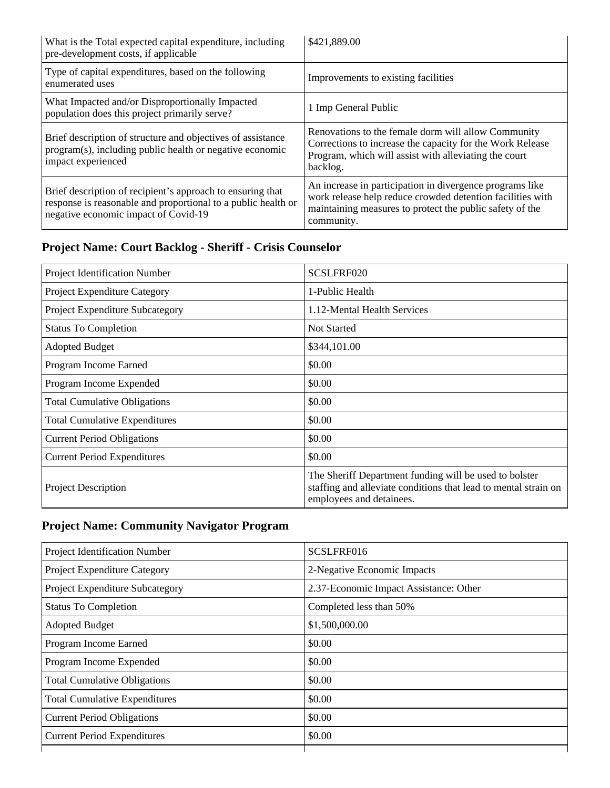| What is the Total expected capital expenditure, including<br>pre-development costs, if applicable                                                                   | \$421,889.00                                                                                                                                                                                     |
|---------------------------------------------------------------------------------------------------------------------------------------------------------------------|--------------------------------------------------------------------------------------------------------------------------------------------------------------------------------------------------|
| Type of capital expenditures, based on the following<br>enumerated uses                                                                                             | Improvements to existing facilities                                                                                                                                                              |
| What Impacted and/or Disproportionally Impacted<br>population does this project primarily serve?                                                                    | 1 Imp General Public                                                                                                                                                                             |
| Brief description of structure and objectives of assistance<br>program(s), including public health or negative economic<br>impact experienced                       | Renovations to the female dorm will allow Community<br>Corrections to increase the capacity for the Work Release<br>Program, which will assist with alleviating the court<br>backlog.            |
| Brief description of recipient's approach to ensuring that<br>response is reasonable and proportional to a public health or<br>negative economic impact of Covid-19 | An increase in participation in divergence programs like<br>work release help reduce crowded detention facilities with<br>maintaining measures to protect the public safety of the<br>community. |

## **Project Name: Court Backlog - Sheriff - Crisis Counselor**

| Project Identification Number        | SCSLFRF020                                                                                                                                            |
|--------------------------------------|-------------------------------------------------------------------------------------------------------------------------------------------------------|
| Project Expenditure Category         | 1-Public Health                                                                                                                                       |
| Project Expenditure Subcategory      | 1.12-Mental Health Services                                                                                                                           |
| <b>Status To Completion</b>          | <b>Not Started</b>                                                                                                                                    |
| <b>Adopted Budget</b>                | \$344,101.00                                                                                                                                          |
| Program Income Earned                | \$0.00                                                                                                                                                |
| Program Income Expended              | \$0.00                                                                                                                                                |
| <b>Total Cumulative Obligations</b>  | \$0.00                                                                                                                                                |
| <b>Total Cumulative Expenditures</b> | \$0.00                                                                                                                                                |
| <b>Current Period Obligations</b>    | \$0.00                                                                                                                                                |
| <b>Current Period Expenditures</b>   | \$0.00                                                                                                                                                |
| <b>Project Description</b>           | The Sheriff Department funding will be used to bolster<br>staffing and alleviate conditions that lead to mental strain on<br>employees and detainees. |

### **Project Name: Community Navigator Program**

| <b>Project Identification Number</b> | SCSLFRF016                             |
|--------------------------------------|----------------------------------------|
| Project Expenditure Category         | 2-Negative Economic Impacts            |
| Project Expenditure Subcategory      | 2.37-Economic Impact Assistance: Other |
| <b>Status To Completion</b>          | Completed less than 50%                |
| <b>Adopted Budget</b>                | \$1,500,000.00                         |
| Program Income Earned                | \$0.00                                 |
| Program Income Expended              | \$0.00                                 |
| <b>Total Cumulative Obligations</b>  | \$0.00                                 |
| <b>Total Cumulative Expenditures</b> | \$0.00                                 |
| <b>Current Period Obligations</b>    | \$0.00                                 |
| <b>Current Period Expenditures</b>   | \$0.00                                 |
|                                      |                                        |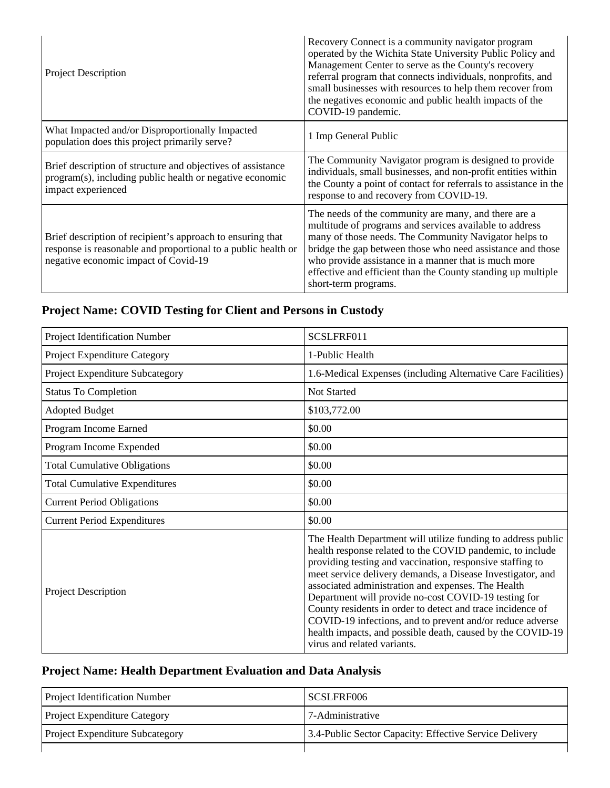| <b>Project Description</b>                                                                                                                                          | Recovery Connect is a community navigator program<br>operated by the Wichita State University Public Policy and<br>Management Center to serve as the County's recovery<br>referral program that connects individuals, nonprofits, and<br>small businesses with resources to help them recover from<br>the negatives economic and public health impacts of the<br>COVID-19 pandemic.    |
|---------------------------------------------------------------------------------------------------------------------------------------------------------------------|----------------------------------------------------------------------------------------------------------------------------------------------------------------------------------------------------------------------------------------------------------------------------------------------------------------------------------------------------------------------------------------|
| What Impacted and/or Disproportionally Impacted<br>population does this project primarily serve?                                                                    | 1 Imp General Public                                                                                                                                                                                                                                                                                                                                                                   |
| Brief description of structure and objectives of assistance<br>program(s), including public health or negative economic<br>impact experienced                       | The Community Navigator program is designed to provide<br>individuals, small businesses, and non-profit entities within<br>the County a point of contact for referrals to assistance in the<br>response to and recovery from COVID-19.                                                                                                                                                 |
| Brief description of recipient's approach to ensuring that<br>response is reasonable and proportional to a public health or<br>negative economic impact of Covid-19 | The needs of the community are many, and there are a<br>multitude of programs and services available to address<br>many of those needs. The Community Navigator helps to<br>bridge the gap between those who need assistance and those<br>who provide assistance in a manner that is much more<br>effective and efficient than the County standing up multiple<br>short-term programs. |

## **Project Name: COVID Testing for Client and Persons in Custody**

| Project Identification Number        | SCSLFRF011                                                                                                                                                                                                                                                                                                                                                                                                                                                                                                                                                                                 |
|--------------------------------------|--------------------------------------------------------------------------------------------------------------------------------------------------------------------------------------------------------------------------------------------------------------------------------------------------------------------------------------------------------------------------------------------------------------------------------------------------------------------------------------------------------------------------------------------------------------------------------------------|
| Project Expenditure Category         | 1-Public Health                                                                                                                                                                                                                                                                                                                                                                                                                                                                                                                                                                            |
| Project Expenditure Subcategory      | 1.6-Medical Expenses (including Alternative Care Facilities)                                                                                                                                                                                                                                                                                                                                                                                                                                                                                                                               |
| <b>Status To Completion</b>          | <b>Not Started</b>                                                                                                                                                                                                                                                                                                                                                                                                                                                                                                                                                                         |
| <b>Adopted Budget</b>                | \$103,772.00                                                                                                                                                                                                                                                                                                                                                                                                                                                                                                                                                                               |
| Program Income Earned                | \$0.00                                                                                                                                                                                                                                                                                                                                                                                                                                                                                                                                                                                     |
| Program Income Expended              | \$0.00                                                                                                                                                                                                                                                                                                                                                                                                                                                                                                                                                                                     |
| <b>Total Cumulative Obligations</b>  | \$0.00                                                                                                                                                                                                                                                                                                                                                                                                                                                                                                                                                                                     |
| <b>Total Cumulative Expenditures</b> | \$0.00                                                                                                                                                                                                                                                                                                                                                                                                                                                                                                                                                                                     |
| <b>Current Period Obligations</b>    | \$0.00                                                                                                                                                                                                                                                                                                                                                                                                                                                                                                                                                                                     |
| <b>Current Period Expenditures</b>   | \$0.00                                                                                                                                                                                                                                                                                                                                                                                                                                                                                                                                                                                     |
| <b>Project Description</b>           | The Health Department will utilize funding to address public<br>health response related to the COVID pandemic, to include<br>providing testing and vaccination, responsive staffing to<br>meet service delivery demands, a Disease Investigator, and<br>associated administration and expenses. The Health<br>Department will provide no-cost COVID-19 testing for<br>County residents in order to detect and trace incidence of<br>COVID-19 infections, and to prevent and/or reduce adverse<br>health impacts, and possible death, caused by the COVID-19<br>virus and related variants. |

## **Project Name: Health Department Evaluation and Data Analysis**

| <b>Project Identification Number</b>   | SCSLFRF006                                             |
|----------------------------------------|--------------------------------------------------------|
| <b>Project Expenditure Category</b>    | 7-Administrative                                       |
| <b>Project Expenditure Subcategory</b> | 3.4-Public Sector Capacity: Effective Service Delivery |
|                                        |                                                        |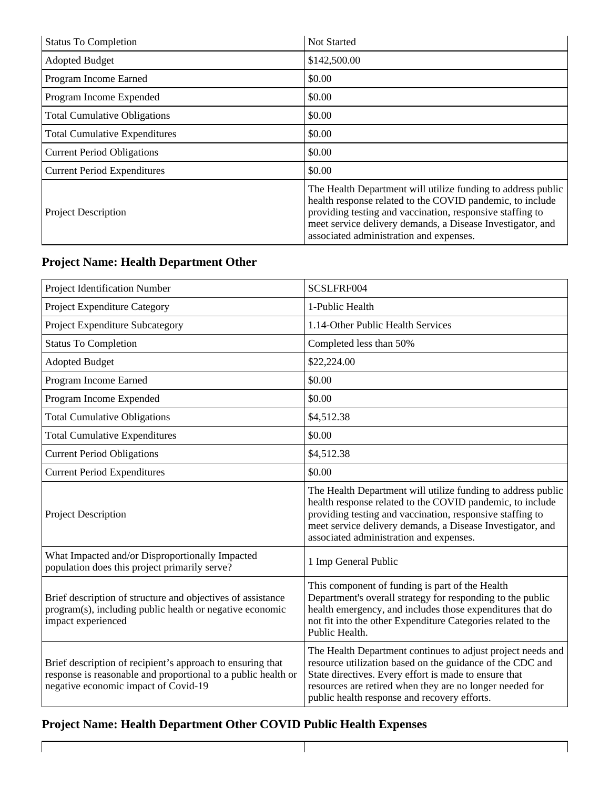| <b>Status To Completion</b>          | <b>Not Started</b>                                                                                                                                                                                                                                                                              |
|--------------------------------------|-------------------------------------------------------------------------------------------------------------------------------------------------------------------------------------------------------------------------------------------------------------------------------------------------|
| <b>Adopted Budget</b>                | \$142,500.00                                                                                                                                                                                                                                                                                    |
| Program Income Earned                | \$0.00                                                                                                                                                                                                                                                                                          |
| Program Income Expended              | \$0.00                                                                                                                                                                                                                                                                                          |
| <b>Total Cumulative Obligations</b>  | \$0.00                                                                                                                                                                                                                                                                                          |
| <b>Total Cumulative Expenditures</b> | \$0.00                                                                                                                                                                                                                                                                                          |
| <b>Current Period Obligations</b>    | \$0.00                                                                                                                                                                                                                                                                                          |
| <b>Current Period Expenditures</b>   | \$0.00                                                                                                                                                                                                                                                                                          |
| <b>Project Description</b>           | The Health Department will utilize funding to address public<br>health response related to the COVID pandemic, to include<br>providing testing and vaccination, responsive staffing to<br>meet service delivery demands, a Disease Investigator, and<br>associated administration and expenses. |

#### **Project Name: Health Department Other**

| Project Identification Number                                                                                                                                       | SCSLFRF004                                                                                                                                                                                                                                                                                      |
|---------------------------------------------------------------------------------------------------------------------------------------------------------------------|-------------------------------------------------------------------------------------------------------------------------------------------------------------------------------------------------------------------------------------------------------------------------------------------------|
| <b>Project Expenditure Category</b>                                                                                                                                 | 1-Public Health                                                                                                                                                                                                                                                                                 |
| Project Expenditure Subcategory                                                                                                                                     | 1.14-Other Public Health Services                                                                                                                                                                                                                                                               |
| <b>Status To Completion</b>                                                                                                                                         | Completed less than 50%                                                                                                                                                                                                                                                                         |
| <b>Adopted Budget</b>                                                                                                                                               | \$22,224.00                                                                                                                                                                                                                                                                                     |
| Program Income Earned                                                                                                                                               | \$0.00                                                                                                                                                                                                                                                                                          |
| Program Income Expended                                                                                                                                             | \$0.00                                                                                                                                                                                                                                                                                          |
| <b>Total Cumulative Obligations</b>                                                                                                                                 | \$4,512.38                                                                                                                                                                                                                                                                                      |
| <b>Total Cumulative Expenditures</b>                                                                                                                                | \$0.00                                                                                                                                                                                                                                                                                          |
| <b>Current Period Obligations</b>                                                                                                                                   | \$4,512.38                                                                                                                                                                                                                                                                                      |
| <b>Current Period Expenditures</b>                                                                                                                                  | \$0.00                                                                                                                                                                                                                                                                                          |
| Project Description                                                                                                                                                 | The Health Department will utilize funding to address public<br>health response related to the COVID pandemic, to include<br>providing testing and vaccination, responsive staffing to<br>meet service delivery demands, a Disease Investigator, and<br>associated administration and expenses. |
| What Impacted and/or Disproportionally Impacted<br>population does this project primarily serve?                                                                    | 1 Imp General Public                                                                                                                                                                                                                                                                            |
| Brief description of structure and objectives of assistance<br>program(s), including public health or negative economic<br>impact experienced                       | This component of funding is part of the Health<br>Department's overall strategy for responding to the public<br>health emergency, and includes those expenditures that do<br>not fit into the other Expenditure Categories related to the<br>Public Health.                                    |
| Brief description of recipient's approach to ensuring that<br>response is reasonable and proportional to a public health or<br>negative economic impact of Covid-19 | The Health Department continues to adjust project needs and<br>resource utilization based on the guidance of the CDC and<br>State directives. Every effort is made to ensure that<br>resources are retired when they are no longer needed for<br>public health response and recovery efforts.   |

 $\mathbf{I}$ 

### **Project Name: Health Department Other COVID Public Health Expenses**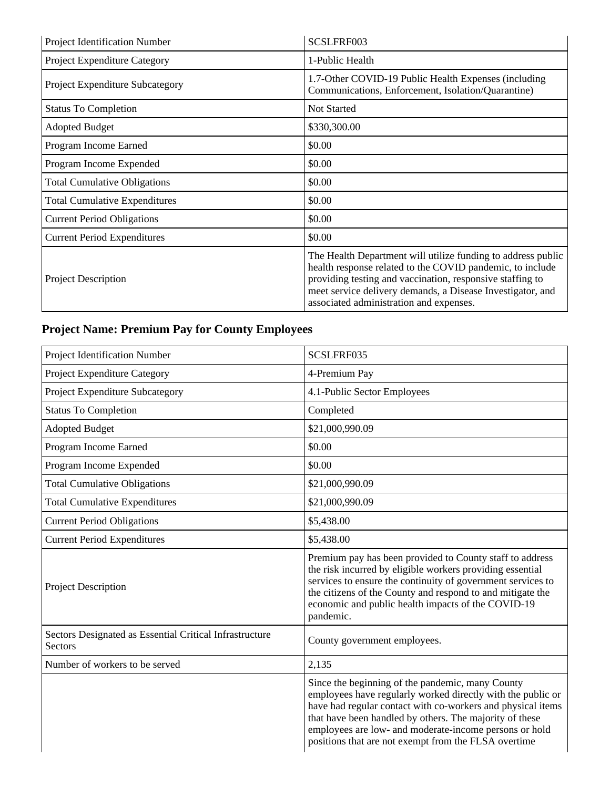| Project Identification Number        | SCSLFRF003                                                                                                                                                                                                                                                                                      |
|--------------------------------------|-------------------------------------------------------------------------------------------------------------------------------------------------------------------------------------------------------------------------------------------------------------------------------------------------|
| Project Expenditure Category         | 1-Public Health                                                                                                                                                                                                                                                                                 |
| Project Expenditure Subcategory      | 1.7-Other COVID-19 Public Health Expenses (including<br>Communications, Enforcement, Isolation/Quarantine)                                                                                                                                                                                      |
| <b>Status To Completion</b>          | <b>Not Started</b>                                                                                                                                                                                                                                                                              |
| <b>Adopted Budget</b>                | \$330,300.00                                                                                                                                                                                                                                                                                    |
| Program Income Earned                | \$0.00                                                                                                                                                                                                                                                                                          |
| Program Income Expended              | \$0.00                                                                                                                                                                                                                                                                                          |
| <b>Total Cumulative Obligations</b>  | \$0.00                                                                                                                                                                                                                                                                                          |
| <b>Total Cumulative Expenditures</b> | \$0.00                                                                                                                                                                                                                                                                                          |
| <b>Current Period Obligations</b>    | \$0.00                                                                                                                                                                                                                                                                                          |
| <b>Current Period Expenditures</b>   | \$0.00                                                                                                                                                                                                                                                                                          |
| <b>Project Description</b>           | The Health Department will utilize funding to address public<br>health response related to the COVID pandemic, to include<br>providing testing and vaccination, responsive staffing to<br>meet service delivery demands, a Disease Investigator, and<br>associated administration and expenses. |

## **Project Name: Premium Pay for County Employees**

| Project Identification Number                                      | SCSLFRF035                                                                                                                                                                                                                                                                                                                                                  |
|--------------------------------------------------------------------|-------------------------------------------------------------------------------------------------------------------------------------------------------------------------------------------------------------------------------------------------------------------------------------------------------------------------------------------------------------|
| Project Expenditure Category                                       | 4-Premium Pay                                                                                                                                                                                                                                                                                                                                               |
| Project Expenditure Subcategory                                    | 4.1-Public Sector Employees                                                                                                                                                                                                                                                                                                                                 |
| <b>Status To Completion</b>                                        | Completed                                                                                                                                                                                                                                                                                                                                                   |
| <b>Adopted Budget</b>                                              | \$21,000,990.09                                                                                                                                                                                                                                                                                                                                             |
| Program Income Earned                                              | \$0.00                                                                                                                                                                                                                                                                                                                                                      |
| Program Income Expended                                            | \$0.00                                                                                                                                                                                                                                                                                                                                                      |
| <b>Total Cumulative Obligations</b>                                | \$21,000,990.09                                                                                                                                                                                                                                                                                                                                             |
| <b>Total Cumulative Expenditures</b>                               | \$21,000,990.09                                                                                                                                                                                                                                                                                                                                             |
| <b>Current Period Obligations</b>                                  | \$5,438.00                                                                                                                                                                                                                                                                                                                                                  |
| <b>Current Period Expenditures</b>                                 | \$5,438.00                                                                                                                                                                                                                                                                                                                                                  |
| Project Description                                                | Premium pay has been provided to County staff to address<br>the risk incurred by eligible workers providing essential<br>services to ensure the continuity of government services to<br>the citizens of the County and respond to and mitigate the<br>economic and public health impacts of the COVID-19<br>pandemic.                                       |
| Sectors Designated as Essential Critical Infrastructure<br>Sectors | County government employees.                                                                                                                                                                                                                                                                                                                                |
| Number of workers to be served                                     | 2,135                                                                                                                                                                                                                                                                                                                                                       |
|                                                                    | Since the beginning of the pandemic, many County<br>employees have regularly worked directly with the public or<br>have had regular contact with co-workers and physical items<br>that have been handled by others. The majority of these<br>employees are low- and moderate-income persons or hold<br>positions that are not exempt from the FLSA overtime |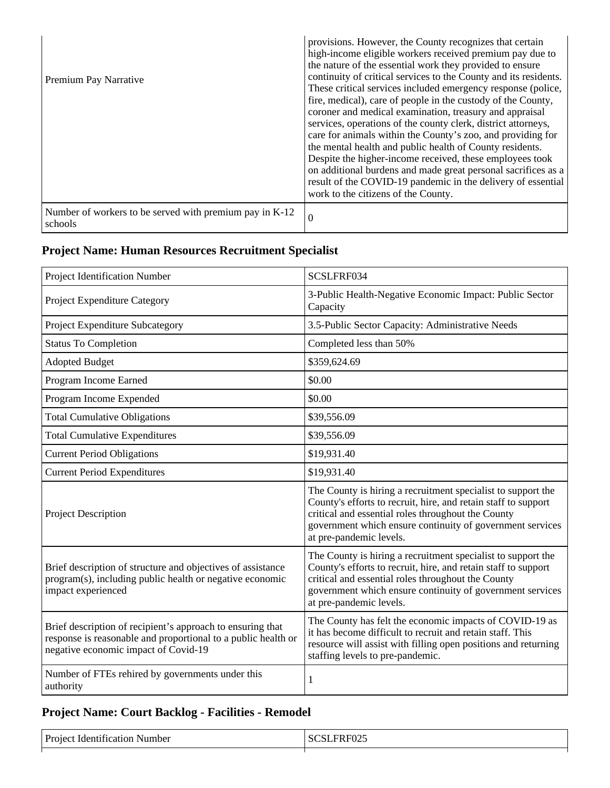| Premium Pay Narrative                                              | provisions. However, the County recognizes that certain<br>high-income eligible workers received premium pay due to<br>the nature of the essential work they provided to ensure<br>continuity of critical services to the County and its residents.<br>These critical services included emergency response (police,<br>fire, medical), care of people in the custody of the County,<br>coroner and medical examination, treasury and appraisal<br>services, operations of the county clerk, district attorneys,<br>care for animals within the County's zoo, and providing for<br>the mental health and public health of County residents.<br>Despite the higher-income received, these employees took<br>on additional burdens and made great personal sacrifices as a<br>result of the COVID-19 pandemic in the delivery of essential<br>work to the citizens of the County. |
|--------------------------------------------------------------------|--------------------------------------------------------------------------------------------------------------------------------------------------------------------------------------------------------------------------------------------------------------------------------------------------------------------------------------------------------------------------------------------------------------------------------------------------------------------------------------------------------------------------------------------------------------------------------------------------------------------------------------------------------------------------------------------------------------------------------------------------------------------------------------------------------------------------------------------------------------------------------|
| Number of workers to be served with premium pay in K-12<br>schools | - 0                                                                                                                                                                                                                                                                                                                                                                                                                                                                                                                                                                                                                                                                                                                                                                                                                                                                            |

## **Project Name: Human Resources Recruitment Specialist**

| Project Identification Number                                                                                                                                       | SCSLFRF034                                                                                                                                                                                                                                                                   |
|---------------------------------------------------------------------------------------------------------------------------------------------------------------------|------------------------------------------------------------------------------------------------------------------------------------------------------------------------------------------------------------------------------------------------------------------------------|
| Project Expenditure Category                                                                                                                                        | 3-Public Health-Negative Economic Impact: Public Sector<br>Capacity                                                                                                                                                                                                          |
| Project Expenditure Subcategory                                                                                                                                     | 3.5-Public Sector Capacity: Administrative Needs                                                                                                                                                                                                                             |
| <b>Status To Completion</b>                                                                                                                                         | Completed less than 50%                                                                                                                                                                                                                                                      |
| <b>Adopted Budget</b>                                                                                                                                               | \$359,624.69                                                                                                                                                                                                                                                                 |
| Program Income Earned                                                                                                                                               | \$0.00                                                                                                                                                                                                                                                                       |
| Program Income Expended                                                                                                                                             | \$0.00                                                                                                                                                                                                                                                                       |
| <b>Total Cumulative Obligations</b>                                                                                                                                 | \$39,556.09                                                                                                                                                                                                                                                                  |
| <b>Total Cumulative Expenditures</b>                                                                                                                                | \$39,556.09                                                                                                                                                                                                                                                                  |
| <b>Current Period Obligations</b>                                                                                                                                   | \$19,931.40                                                                                                                                                                                                                                                                  |
| <b>Current Period Expenditures</b>                                                                                                                                  | \$19,931.40                                                                                                                                                                                                                                                                  |
| Project Description                                                                                                                                                 | The County is hiring a recruitment specialist to support the<br>County's efforts to recruit, hire, and retain staff to support<br>critical and essential roles throughout the County<br>government which ensure continuity of government services<br>at pre-pandemic levels. |
| Brief description of structure and objectives of assistance<br>program(s), including public health or negative economic<br>impact experienced                       | The County is hiring a recruitment specialist to support the<br>County's efforts to recruit, hire, and retain staff to support<br>critical and essential roles throughout the County<br>government which ensure continuity of government services<br>at pre-pandemic levels. |
| Brief description of recipient's approach to ensuring that<br>response is reasonable and proportional to a public health or<br>negative economic impact of Covid-19 | The County has felt the economic impacts of COVID-19 as<br>it has become difficult to recruit and retain staff. This<br>resource will assist with filling open positions and returning<br>staffing levels to pre-pandemic.                                                   |
| Number of FTEs rehired by governments under this<br>authority                                                                                                       | 1                                                                                                                                                                                                                                                                            |

### **Project Name: Court Backlog - Facilities - Remodel**

| $D_{\text{noise}}$<br>uder.<br>.<br>mber | .<br>$ -$ |
|------------------------------------------|-----------|
|                                          |           |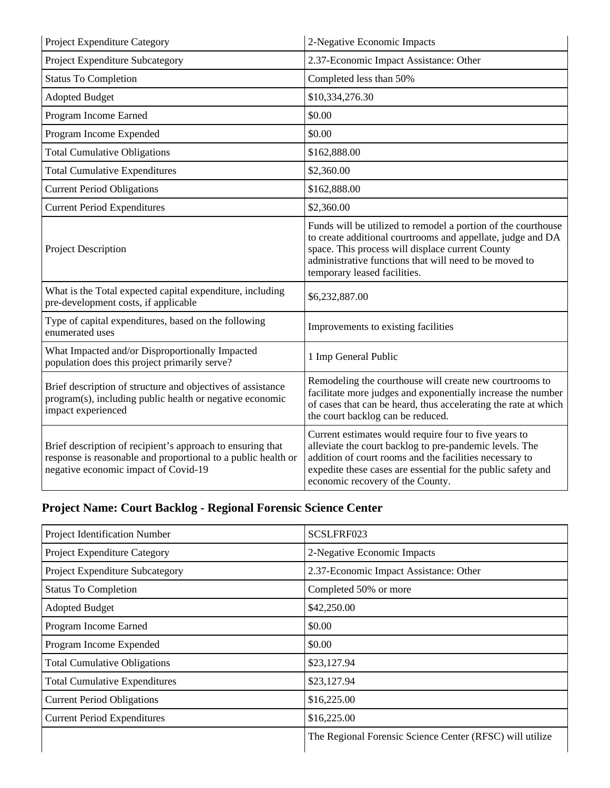| Project Expenditure Category                                                                                                                                        | 2-Negative Economic Impacts                                                                                                                                                                                                                                                     |
|---------------------------------------------------------------------------------------------------------------------------------------------------------------------|---------------------------------------------------------------------------------------------------------------------------------------------------------------------------------------------------------------------------------------------------------------------------------|
| Project Expenditure Subcategory                                                                                                                                     | 2.37-Economic Impact Assistance: Other                                                                                                                                                                                                                                          |
| <b>Status To Completion</b>                                                                                                                                         | Completed less than 50%                                                                                                                                                                                                                                                         |
| <b>Adopted Budget</b>                                                                                                                                               | \$10,334,276.30                                                                                                                                                                                                                                                                 |
| Program Income Earned                                                                                                                                               | \$0.00                                                                                                                                                                                                                                                                          |
| Program Income Expended                                                                                                                                             | \$0.00                                                                                                                                                                                                                                                                          |
| <b>Total Cumulative Obligations</b>                                                                                                                                 | \$162,888.00                                                                                                                                                                                                                                                                    |
| <b>Total Cumulative Expenditures</b>                                                                                                                                | \$2,360.00                                                                                                                                                                                                                                                                      |
| <b>Current Period Obligations</b>                                                                                                                                   | \$162,888.00                                                                                                                                                                                                                                                                    |
| <b>Current Period Expenditures</b>                                                                                                                                  | \$2,360.00                                                                                                                                                                                                                                                                      |
| Project Description                                                                                                                                                 | Funds will be utilized to remodel a portion of the courthouse<br>to create additional courtrooms and appellate, judge and DA<br>space. This process will displace current County<br>administrative functions that will need to be moved to<br>temporary leased facilities.      |
| What is the Total expected capital expenditure, including<br>pre-development costs, if applicable                                                                   | \$6,232,887.00                                                                                                                                                                                                                                                                  |
| Type of capital expenditures, based on the following<br>enumerated uses                                                                                             | Improvements to existing facilities                                                                                                                                                                                                                                             |
| What Impacted and/or Disproportionally Impacted<br>population does this project primarily serve?                                                                    | 1 Imp General Public                                                                                                                                                                                                                                                            |
| Brief description of structure and objectives of assistance<br>program(s), including public health or negative economic<br>impact experienced                       | Remodeling the courthouse will create new courtrooms to<br>facilitate more judges and exponentially increase the number<br>of cases that can be heard, thus accelerating the rate at which<br>the court backlog can be reduced.                                                 |
| Brief description of recipient's approach to ensuring that<br>response is reasonable and proportional to a public health or<br>negative economic impact of Covid-19 | Current estimates would require four to five years to<br>alleviate the court backlog to pre-pandemic levels. The<br>addition of court rooms and the facilities necessary to<br>expedite these cases are essential for the public safety and<br>economic recovery of the County. |

## **Project Name: Court Backlog - Regional Forensic Science Center**

| Project Identification Number        | SCSLFRF023                                               |
|--------------------------------------|----------------------------------------------------------|
| Project Expenditure Category         | 2-Negative Economic Impacts                              |
| Project Expenditure Subcategory      | 2.37-Economic Impact Assistance: Other                   |
| <b>Status To Completion</b>          | Completed 50% or more                                    |
| <b>Adopted Budget</b>                | \$42,250.00                                              |
| Program Income Earned                | \$0.00                                                   |
| Program Income Expended              | \$0.00                                                   |
| <b>Total Cumulative Obligations</b>  | \$23,127.94                                              |
| <b>Total Cumulative Expenditures</b> | \$23,127.94                                              |
| <b>Current Period Obligations</b>    | \$16,225.00                                              |
| <b>Current Period Expenditures</b>   | \$16,225.00                                              |
|                                      | The Regional Forensic Science Center (RFSC) will utilize |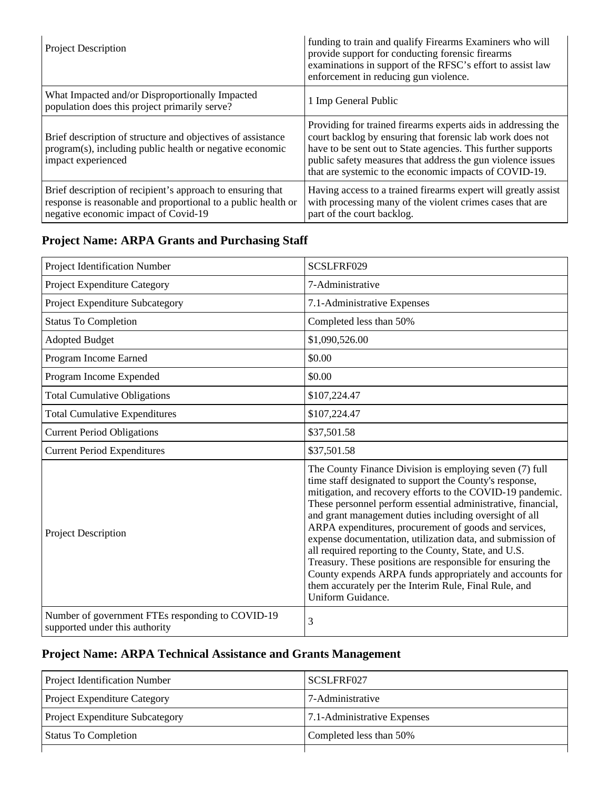| <b>Project Description</b>                                                                                                                                          | funding to train and qualify Firearms Examiners who will<br>provide support for conducting forensic firearms<br>examinations in support of the RFSC's effort to assist law<br>enforcement in reducing gun violence.                                                                                                 |
|---------------------------------------------------------------------------------------------------------------------------------------------------------------------|---------------------------------------------------------------------------------------------------------------------------------------------------------------------------------------------------------------------------------------------------------------------------------------------------------------------|
| What Impacted and/or Disproportionally Impacted<br>population does this project primarily serve?                                                                    | 1 Imp General Public                                                                                                                                                                                                                                                                                                |
| Brief description of structure and objectives of assistance<br>program(s), including public health or negative economic<br>impact experienced                       | Providing for trained firearms experts aids in addressing the<br>court backlog by ensuring that forensic lab work does not<br>have to be sent out to State agencies. This further supports<br>public safety measures that address the gun violence issues<br>that are systemic to the economic impacts of COVID-19. |
| Brief description of recipient's approach to ensuring that<br>response is reasonable and proportional to a public health or<br>negative economic impact of Covid-19 | Having access to a trained firearms expert will greatly assist<br>with processing many of the violent crimes cases that are<br>part of the court backlog.                                                                                                                                                           |

#### **Project Name: ARPA Grants and Purchasing Staff**

| Project Identification Number                                                      | SCSLFRF029                                                                                                                                                                                                                                                                                                                                                                                                                                                                                                                                                                                                                                                                                         |
|------------------------------------------------------------------------------------|----------------------------------------------------------------------------------------------------------------------------------------------------------------------------------------------------------------------------------------------------------------------------------------------------------------------------------------------------------------------------------------------------------------------------------------------------------------------------------------------------------------------------------------------------------------------------------------------------------------------------------------------------------------------------------------------------|
| Project Expenditure Category                                                       | 7-Administrative                                                                                                                                                                                                                                                                                                                                                                                                                                                                                                                                                                                                                                                                                   |
| Project Expenditure Subcategory                                                    | 7.1-Administrative Expenses                                                                                                                                                                                                                                                                                                                                                                                                                                                                                                                                                                                                                                                                        |
| <b>Status To Completion</b>                                                        | Completed less than 50%                                                                                                                                                                                                                                                                                                                                                                                                                                                                                                                                                                                                                                                                            |
| <b>Adopted Budget</b>                                                              | \$1,090,526.00                                                                                                                                                                                                                                                                                                                                                                                                                                                                                                                                                                                                                                                                                     |
| Program Income Earned                                                              | \$0.00                                                                                                                                                                                                                                                                                                                                                                                                                                                                                                                                                                                                                                                                                             |
| Program Income Expended                                                            | \$0.00                                                                                                                                                                                                                                                                                                                                                                                                                                                                                                                                                                                                                                                                                             |
| <b>Total Cumulative Obligations</b>                                                | \$107,224.47                                                                                                                                                                                                                                                                                                                                                                                                                                                                                                                                                                                                                                                                                       |
| <b>Total Cumulative Expenditures</b>                                               | \$107,224.47                                                                                                                                                                                                                                                                                                                                                                                                                                                                                                                                                                                                                                                                                       |
| <b>Current Period Obligations</b>                                                  | \$37,501.58                                                                                                                                                                                                                                                                                                                                                                                                                                                                                                                                                                                                                                                                                        |
| <b>Current Period Expenditures</b>                                                 | \$37,501.58                                                                                                                                                                                                                                                                                                                                                                                                                                                                                                                                                                                                                                                                                        |
| Project Description                                                                | The County Finance Division is employing seven (7) full<br>time staff designated to support the County's response,<br>mitigation, and recovery efforts to the COVID-19 pandemic.<br>These personnel perform essential administrative, financial,<br>and grant management duties including oversight of all<br>ARPA expenditures, procurement of goods and services,<br>expense documentation, utilization data, and submission of<br>all required reporting to the County, State, and U.S.<br>Treasury. These positions are responsible for ensuring the<br>County expends ARPA funds appropriately and accounts for<br>them accurately per the Interim Rule, Final Rule, and<br>Uniform Guidance. |
| Number of government FTEs responding to COVID-19<br>supported under this authority | 3                                                                                                                                                                                                                                                                                                                                                                                                                                                                                                                                                                                                                                                                                                  |

### **Project Name: ARPA Technical Assistance and Grants Management**

| <b>Project Identification Number</b>   | SCSLFRF027                  |
|----------------------------------------|-----------------------------|
| <b>Project Expenditure Category</b>    | 7-Administrative            |
| <b>Project Expenditure Subcategory</b> | 7.1-Administrative Expenses |
| <b>Status To Completion</b>            | Completed less than 50%     |
|                                        |                             |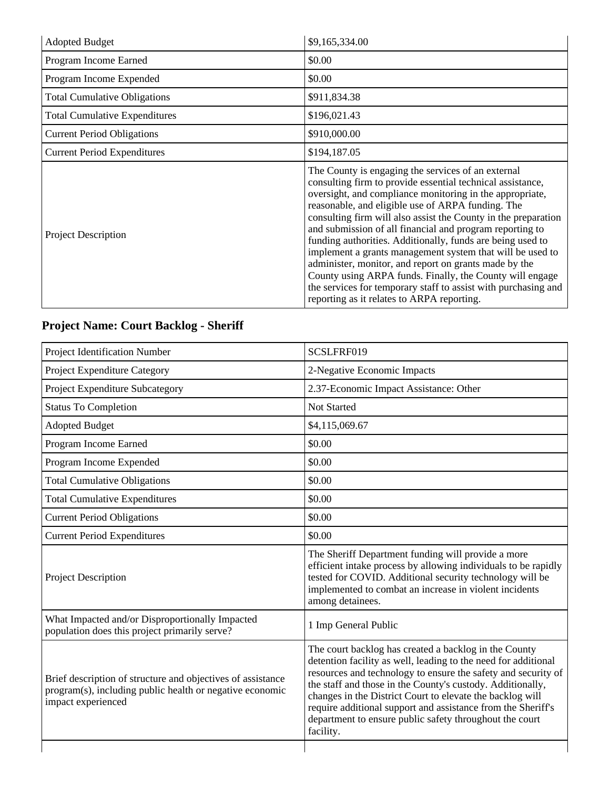| <b>Adopted Budget</b>                | \$9,165,334.00                                                                                                                                                                                                                                                                                                                                                                                                                                                                                                                                                                                                                                                                                                                  |
|--------------------------------------|---------------------------------------------------------------------------------------------------------------------------------------------------------------------------------------------------------------------------------------------------------------------------------------------------------------------------------------------------------------------------------------------------------------------------------------------------------------------------------------------------------------------------------------------------------------------------------------------------------------------------------------------------------------------------------------------------------------------------------|
| Program Income Earned                | \$0.00                                                                                                                                                                                                                                                                                                                                                                                                                                                                                                                                                                                                                                                                                                                          |
| Program Income Expended              | \$0.00                                                                                                                                                                                                                                                                                                                                                                                                                                                                                                                                                                                                                                                                                                                          |
| <b>Total Cumulative Obligations</b>  | \$911,834.38                                                                                                                                                                                                                                                                                                                                                                                                                                                                                                                                                                                                                                                                                                                    |
| <b>Total Cumulative Expenditures</b> | \$196,021.43                                                                                                                                                                                                                                                                                                                                                                                                                                                                                                                                                                                                                                                                                                                    |
| <b>Current Period Obligations</b>    | \$910,000.00                                                                                                                                                                                                                                                                                                                                                                                                                                                                                                                                                                                                                                                                                                                    |
| <b>Current Period Expenditures</b>   | \$194,187.05                                                                                                                                                                                                                                                                                                                                                                                                                                                                                                                                                                                                                                                                                                                    |
| <b>Project Description</b>           | The County is engaging the services of an external<br>consulting firm to provide essential technical assistance,<br>oversight, and compliance monitoring in the appropriate,<br>reasonable, and eligible use of ARPA funding. The<br>consulting firm will also assist the County in the preparation<br>and submission of all financial and program reporting to<br>funding authorities. Additionally, funds are being used to<br>implement a grants management system that will be used to<br>administer, monitor, and report on grants made by the<br>County using ARPA funds. Finally, the County will engage<br>the services for temporary staff to assist with purchasing and<br>reporting as it relates to ARPA reporting. |

## **Project Name: Court Backlog - Sheriff**

| Project Identification Number                                                                                                                 | SCSLFRF019                                                                                                                                                                                                                                                                                                                                                                                                                                                  |
|-----------------------------------------------------------------------------------------------------------------------------------------------|-------------------------------------------------------------------------------------------------------------------------------------------------------------------------------------------------------------------------------------------------------------------------------------------------------------------------------------------------------------------------------------------------------------------------------------------------------------|
| Project Expenditure Category                                                                                                                  | 2-Negative Economic Impacts                                                                                                                                                                                                                                                                                                                                                                                                                                 |
| Project Expenditure Subcategory                                                                                                               | 2.37-Economic Impact Assistance: Other                                                                                                                                                                                                                                                                                                                                                                                                                      |
| <b>Status To Completion</b>                                                                                                                   | Not Started                                                                                                                                                                                                                                                                                                                                                                                                                                                 |
| <b>Adopted Budget</b>                                                                                                                         | \$4,115,069.67                                                                                                                                                                                                                                                                                                                                                                                                                                              |
| Program Income Earned                                                                                                                         | \$0.00                                                                                                                                                                                                                                                                                                                                                                                                                                                      |
| Program Income Expended                                                                                                                       | \$0.00                                                                                                                                                                                                                                                                                                                                                                                                                                                      |
| <b>Total Cumulative Obligations</b>                                                                                                           | \$0.00                                                                                                                                                                                                                                                                                                                                                                                                                                                      |
| <b>Total Cumulative Expenditures</b>                                                                                                          | \$0.00                                                                                                                                                                                                                                                                                                                                                                                                                                                      |
| <b>Current Period Obligations</b>                                                                                                             | \$0.00                                                                                                                                                                                                                                                                                                                                                                                                                                                      |
| <b>Current Period Expenditures</b>                                                                                                            | \$0.00                                                                                                                                                                                                                                                                                                                                                                                                                                                      |
| <b>Project Description</b>                                                                                                                    | The Sheriff Department funding will provide a more<br>efficient intake process by allowing individuals to be rapidly<br>tested for COVID. Additional security technology will be<br>implemented to combat an increase in violent incidents<br>among detainees.                                                                                                                                                                                              |
| What Impacted and/or Disproportionally Impacted<br>population does this project primarily serve?                                              | 1 Imp General Public                                                                                                                                                                                                                                                                                                                                                                                                                                        |
| Brief description of structure and objectives of assistance<br>program(s), including public health or negative economic<br>impact experienced | The court backlog has created a backlog in the County<br>detention facility as well, leading to the need for additional<br>resources and technology to ensure the safety and security of<br>the staff and those in the County's custody. Additionally,<br>changes in the District Court to elevate the backlog will<br>require additional support and assistance from the Sheriff's<br>department to ensure public safety throughout the court<br>facility. |
|                                                                                                                                               |                                                                                                                                                                                                                                                                                                                                                                                                                                                             |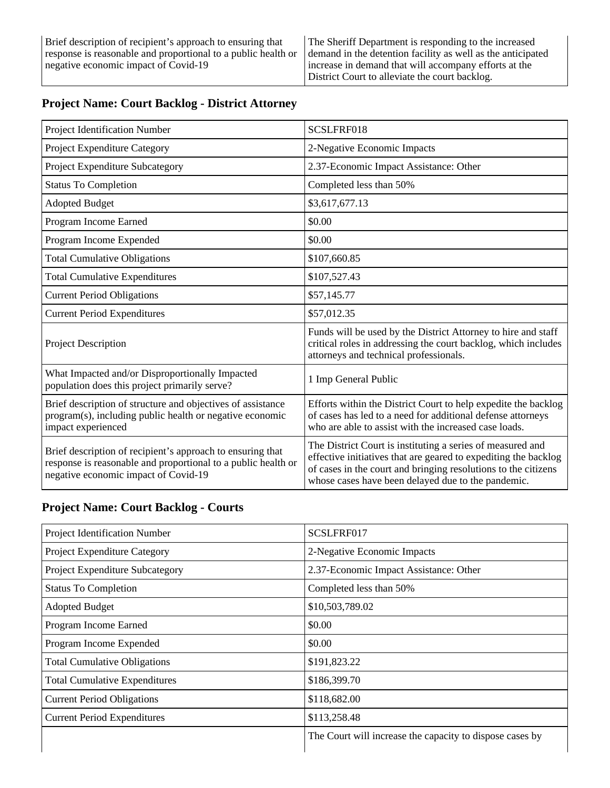| Project Identification Number                                                                                                                                       | SCSLFRF018                                                                                                                                                                                                                                            |
|---------------------------------------------------------------------------------------------------------------------------------------------------------------------|-------------------------------------------------------------------------------------------------------------------------------------------------------------------------------------------------------------------------------------------------------|
| Project Expenditure Category                                                                                                                                        | 2-Negative Economic Impacts                                                                                                                                                                                                                           |
| Project Expenditure Subcategory                                                                                                                                     | 2.37-Economic Impact Assistance: Other                                                                                                                                                                                                                |
| <b>Status To Completion</b>                                                                                                                                         | Completed less than 50%                                                                                                                                                                                                                               |
| <b>Adopted Budget</b>                                                                                                                                               | \$3,617,677.13                                                                                                                                                                                                                                        |
| Program Income Earned                                                                                                                                               | \$0.00                                                                                                                                                                                                                                                |
| Program Income Expended                                                                                                                                             | \$0.00                                                                                                                                                                                                                                                |
| <b>Total Cumulative Obligations</b>                                                                                                                                 | \$107,660.85                                                                                                                                                                                                                                          |
| <b>Total Cumulative Expenditures</b>                                                                                                                                | \$107,527.43                                                                                                                                                                                                                                          |
| <b>Current Period Obligations</b>                                                                                                                                   | \$57,145.77                                                                                                                                                                                                                                           |
| <b>Current Period Expenditures</b>                                                                                                                                  | \$57,012.35                                                                                                                                                                                                                                           |
| <b>Project Description</b>                                                                                                                                          | Funds will be used by the District Attorney to hire and staff<br>critical roles in addressing the court backlog, which includes<br>attorneys and technical professionals.                                                                             |
| What Impacted and/or Disproportionally Impacted<br>population does this project primarily serve?                                                                    | 1 Imp General Public                                                                                                                                                                                                                                  |
| Brief description of structure and objectives of assistance<br>program(s), including public health or negative economic<br>impact experienced                       | Efforts within the District Court to help expedite the backlog<br>of cases has led to a need for additional defense attorneys<br>who are able to assist with the increased case loads.                                                                |
| Brief description of recipient's approach to ensuring that<br>response is reasonable and proportional to a public health or<br>negative economic impact of Covid-19 | The District Court is instituting a series of measured and<br>effective initiatives that are geared to expediting the backlog<br>of cases in the court and bringing resolutions to the citizens<br>whose cases have been delayed due to the pandemic. |

#### **Project Name: Court Backlog - District Attorney**

#### **Project Name: Court Backlog - Courts**

| Project Identification Number        | SCSLFRF017                                               |
|--------------------------------------|----------------------------------------------------------|
| Project Expenditure Category         | 2-Negative Economic Impacts                              |
| Project Expenditure Subcategory      | 2.37-Economic Impact Assistance: Other                   |
| <b>Status To Completion</b>          | Completed less than 50%                                  |
| <b>Adopted Budget</b>                | \$10,503,789.02                                          |
| Program Income Earned                | \$0.00                                                   |
| Program Income Expended              | \$0.00                                                   |
| <b>Total Cumulative Obligations</b>  | \$191,823.22                                             |
| <b>Total Cumulative Expenditures</b> | \$186,399.70                                             |
| <b>Current Period Obligations</b>    | \$118,682.00                                             |
| <b>Current Period Expenditures</b>   | \$113,258.48                                             |
|                                      | The Court will increase the capacity to dispose cases by |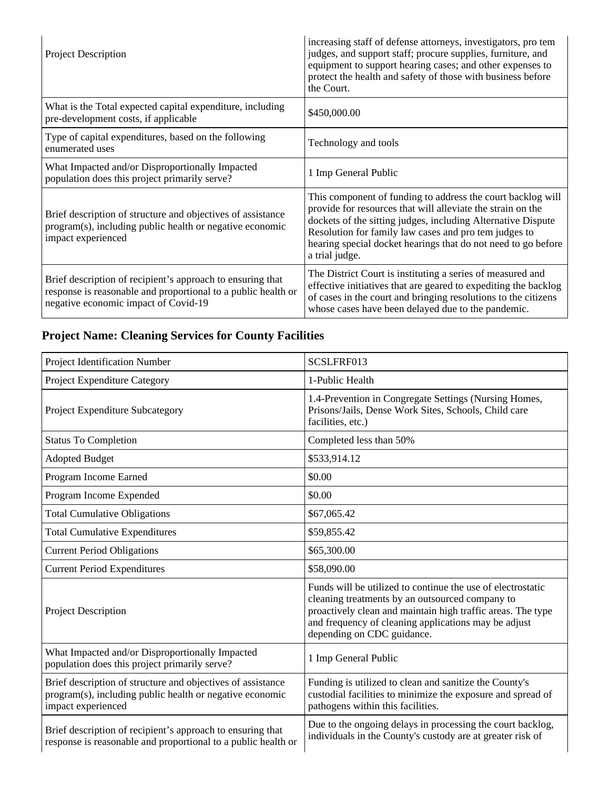| <b>Project Description</b>                                                                                                                                          | increasing staff of defense attorneys, investigators, pro tem<br>judges, and support staff; procure supplies, furniture, and<br>equipment to support hearing cases; and other expenses to<br>protect the health and safety of those with business before<br>the Court.                                                                 |
|---------------------------------------------------------------------------------------------------------------------------------------------------------------------|----------------------------------------------------------------------------------------------------------------------------------------------------------------------------------------------------------------------------------------------------------------------------------------------------------------------------------------|
| What is the Total expected capital expenditure, including<br>pre-development costs, if applicable                                                                   | \$450,000.00                                                                                                                                                                                                                                                                                                                           |
| Type of capital expenditures, based on the following<br>enumerated uses                                                                                             | Technology and tools                                                                                                                                                                                                                                                                                                                   |
| What Impacted and/or Disproportionally Impacted<br>population does this project primarily serve?                                                                    | 1 Imp General Public                                                                                                                                                                                                                                                                                                                   |
| Brief description of structure and objectives of assistance<br>program(s), including public health or negative economic<br>impact experienced                       | This component of funding to address the court backlog will<br>provide for resources that will alleviate the strain on the<br>dockets of the sitting judges, including Alternative Dispute<br>Resolution for family law cases and pro tem judges to<br>hearing special docket hearings that do not need to go before<br>a trial judge. |
| Brief description of recipient's approach to ensuring that<br>response is reasonable and proportional to a public health or<br>negative economic impact of Covid-19 | The District Court is instituting a series of measured and<br>effective initiatives that are geared to expediting the backlog<br>of cases in the court and bringing resolutions to the citizens<br>whose cases have been delayed due to the pandemic.                                                                                  |

## **Project Name: Cleaning Services for County Facilities**

| Project Identification Number                                                                                                                 | SCSLFRF013                                                                                                                                                                                                                                                          |
|-----------------------------------------------------------------------------------------------------------------------------------------------|---------------------------------------------------------------------------------------------------------------------------------------------------------------------------------------------------------------------------------------------------------------------|
| Project Expenditure Category                                                                                                                  | 1-Public Health                                                                                                                                                                                                                                                     |
| Project Expenditure Subcategory                                                                                                               | 1.4-Prevention in Congregate Settings (Nursing Homes,<br>Prisons/Jails, Dense Work Sites, Schools, Child care<br>facilities, etc.)                                                                                                                                  |
| <b>Status To Completion</b>                                                                                                                   | Completed less than 50%                                                                                                                                                                                                                                             |
| <b>Adopted Budget</b>                                                                                                                         | \$533,914.12                                                                                                                                                                                                                                                        |
| Program Income Earned                                                                                                                         | \$0.00                                                                                                                                                                                                                                                              |
| Program Income Expended                                                                                                                       | \$0.00                                                                                                                                                                                                                                                              |
| <b>Total Cumulative Obligations</b>                                                                                                           | \$67,065.42                                                                                                                                                                                                                                                         |
| <b>Total Cumulative Expenditures</b>                                                                                                          | \$59,855.42                                                                                                                                                                                                                                                         |
| <b>Current Period Obligations</b>                                                                                                             | \$65,300.00                                                                                                                                                                                                                                                         |
| <b>Current Period Expenditures</b>                                                                                                            | \$58,090.00                                                                                                                                                                                                                                                         |
| Project Description                                                                                                                           | Funds will be utilized to continue the use of electrostatic<br>cleaning treatments by an outsourced company to<br>proactively clean and maintain high traffic areas. The type<br>and frequency of cleaning applications may be adjust<br>depending on CDC guidance. |
| What Impacted and/or Disproportionally Impacted<br>population does this project primarily serve?                                              | 1 Imp General Public                                                                                                                                                                                                                                                |
| Brief description of structure and objectives of assistance<br>program(s), including public health or negative economic<br>impact experienced | Funding is utilized to clean and sanitize the County's<br>custodial facilities to minimize the exposure and spread of<br>pathogens within this facilities.                                                                                                          |
| Brief description of recipient's approach to ensuring that<br>response is reasonable and proportional to a public health or                   | Due to the ongoing delays in processing the court backlog,<br>individuals in the County's custody are at greater risk of                                                                                                                                            |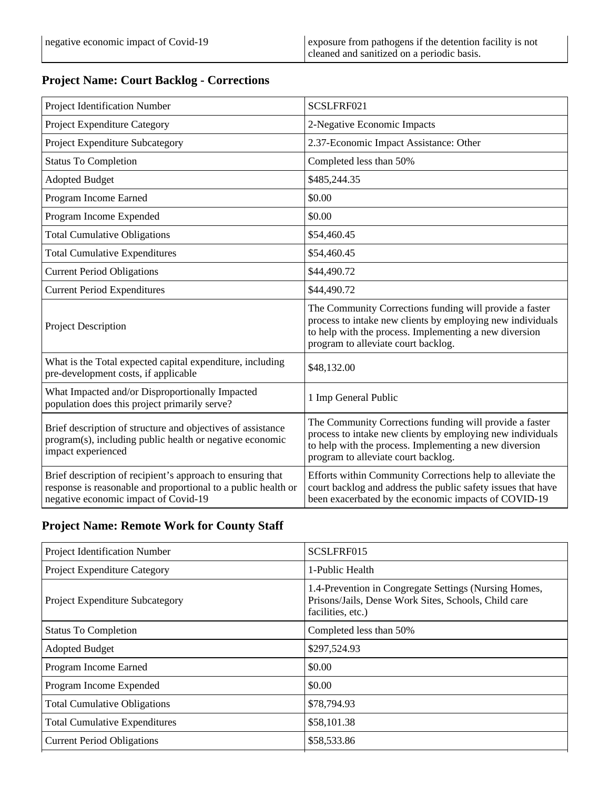### **Project Name: Court Backlog - Corrections**

| Project Identification Number                                                                                                                                       | SCSLFRF021                                                                                                                                                                                                             |
|---------------------------------------------------------------------------------------------------------------------------------------------------------------------|------------------------------------------------------------------------------------------------------------------------------------------------------------------------------------------------------------------------|
| Project Expenditure Category                                                                                                                                        | 2-Negative Economic Impacts                                                                                                                                                                                            |
| Project Expenditure Subcategory                                                                                                                                     | 2.37-Economic Impact Assistance: Other                                                                                                                                                                                 |
| <b>Status To Completion</b>                                                                                                                                         | Completed less than 50%                                                                                                                                                                                                |
| <b>Adopted Budget</b>                                                                                                                                               | \$485,244.35                                                                                                                                                                                                           |
| Program Income Earned                                                                                                                                               | \$0.00                                                                                                                                                                                                                 |
| Program Income Expended                                                                                                                                             | \$0.00                                                                                                                                                                                                                 |
| <b>Total Cumulative Obligations</b>                                                                                                                                 | \$54,460.45                                                                                                                                                                                                            |
| <b>Total Cumulative Expenditures</b>                                                                                                                                | \$54,460.45                                                                                                                                                                                                            |
| <b>Current Period Obligations</b>                                                                                                                                   | \$44,490.72                                                                                                                                                                                                            |
| <b>Current Period Expenditures</b>                                                                                                                                  | \$44,490.72                                                                                                                                                                                                            |
| <b>Project Description</b>                                                                                                                                          | The Community Corrections funding will provide a faster<br>process to intake new clients by employing new individuals<br>to help with the process. Implementing a new diversion<br>program to alleviate court backlog. |
| What is the Total expected capital expenditure, including<br>pre-development costs, if applicable                                                                   | \$48,132.00                                                                                                                                                                                                            |
| What Impacted and/or Disproportionally Impacted<br>population does this project primarily serve?                                                                    | 1 Imp General Public                                                                                                                                                                                                   |
| Brief description of structure and objectives of assistance<br>program(s), including public health or negative economic<br>impact experienced                       | The Community Corrections funding will provide a faster<br>process to intake new clients by employing new individuals<br>to help with the process. Implementing a new diversion<br>program to alleviate court backlog. |
| Brief description of recipient's approach to ensuring that<br>response is reasonable and proportional to a public health or<br>negative economic impact of Covid-19 | Efforts within Community Corrections help to alleviate the<br>court backlog and address the public safety issues that have<br>been exacerbated by the economic impacts of COVID-19                                     |

### **Project Name: Remote Work for County Staff**

| Project Identification Number          | SCSLFRF015                                                                                                                         |
|----------------------------------------|------------------------------------------------------------------------------------------------------------------------------------|
| <b>Project Expenditure Category</b>    | 1-Public Health                                                                                                                    |
| <b>Project Expenditure Subcategory</b> | 1.4-Prevention in Congregate Settings (Nursing Homes,<br>Prisons/Jails, Dense Work Sites, Schools, Child care<br>facilities, etc.) |
| <b>Status To Completion</b>            | Completed less than 50%                                                                                                            |
| <b>Adopted Budget</b>                  | \$297,524.93                                                                                                                       |
| Program Income Earned                  | \$0.00                                                                                                                             |
| Program Income Expended                | \$0.00                                                                                                                             |
| <b>Total Cumulative Obligations</b>    | \$78,794.93                                                                                                                        |
| <b>Total Cumulative Expenditures</b>   | \$58,101.38                                                                                                                        |
| <b>Current Period Obligations</b>      | \$58,533.86                                                                                                                        |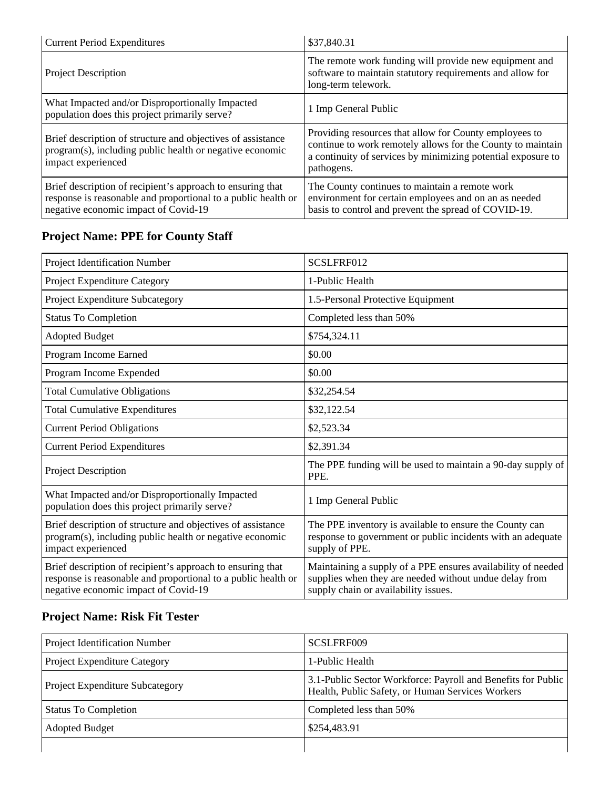| <b>Current Period Expenditures</b>                                                                                                                                  | \$37,840.31                                                                                                                                                                                         |
|---------------------------------------------------------------------------------------------------------------------------------------------------------------------|-----------------------------------------------------------------------------------------------------------------------------------------------------------------------------------------------------|
| <b>Project Description</b>                                                                                                                                          | The remote work funding will provide new equipment and<br>software to maintain statutory requirements and allow for<br>long-term telework.                                                          |
| What Impacted and/or Disproportionally Impacted<br>population does this project primarily serve?                                                                    | 1 Imp General Public                                                                                                                                                                                |
| Brief description of structure and objectives of assistance<br>program(s), including public health or negative economic<br>impact experienced                       | Providing resources that allow for County employees to<br>continue to work remotely allows for the County to maintain<br>a continuity of services by minimizing potential exposure to<br>pathogens. |
| Brief description of recipient's approach to ensuring that<br>response is reasonable and proportional to a public health or<br>negative economic impact of Covid-19 | The County continues to maintain a remote work<br>environment for certain employees and on an as needed<br>basis to control and prevent the spread of COVID-19.                                     |

## **Project Name: PPE for County Staff**

| Project Identification Number                                                                                                                                       | SCSLFRF012                                                                                                                                                     |
|---------------------------------------------------------------------------------------------------------------------------------------------------------------------|----------------------------------------------------------------------------------------------------------------------------------------------------------------|
| Project Expenditure Category                                                                                                                                        | 1-Public Health                                                                                                                                                |
| Project Expenditure Subcategory                                                                                                                                     | 1.5-Personal Protective Equipment                                                                                                                              |
| <b>Status To Completion</b>                                                                                                                                         | Completed less than 50%                                                                                                                                        |
| <b>Adopted Budget</b>                                                                                                                                               | \$754,324.11                                                                                                                                                   |
| Program Income Earned                                                                                                                                               | \$0.00                                                                                                                                                         |
| Program Income Expended                                                                                                                                             | \$0.00                                                                                                                                                         |
| <b>Total Cumulative Obligations</b>                                                                                                                                 | \$32,254.54                                                                                                                                                    |
| <b>Total Cumulative Expenditures</b>                                                                                                                                | \$32,122.54                                                                                                                                                    |
| <b>Current Period Obligations</b>                                                                                                                                   | \$2,523.34                                                                                                                                                     |
| <b>Current Period Expenditures</b>                                                                                                                                  | \$2,391.34                                                                                                                                                     |
| Project Description                                                                                                                                                 | The PPE funding will be used to maintain a 90-day supply of<br>PPE.                                                                                            |
| What Impacted and/or Disproportionally Impacted<br>population does this project primarily serve?                                                                    | 1 Imp General Public                                                                                                                                           |
| Brief description of structure and objectives of assistance<br>program(s), including public health or negative economic<br>impact experienced                       | The PPE inventory is available to ensure the County can<br>response to government or public incidents with an adequate<br>supply of PPE.                       |
| Brief description of recipient's approach to ensuring that<br>response is reasonable and proportional to a public health or<br>negative economic impact of Covid-19 | Maintaining a supply of a PPE ensures availability of needed<br>supplies when they are needed without undue delay from<br>supply chain or availability issues. |

## **Project Name: Risk Fit Tester**

| Project Identification Number   | SCSLFRF009                                                                                                       |
|---------------------------------|------------------------------------------------------------------------------------------------------------------|
| Project Expenditure Category    | 1-Public Health                                                                                                  |
| Project Expenditure Subcategory | 3.1-Public Sector Workforce: Payroll and Benefits for Public<br>Health, Public Safety, or Human Services Workers |
| <b>Status To Completion</b>     | Completed less than 50%                                                                                          |
| <b>Adopted Budget</b>           | \$254,483.91                                                                                                     |
|                                 |                                                                                                                  |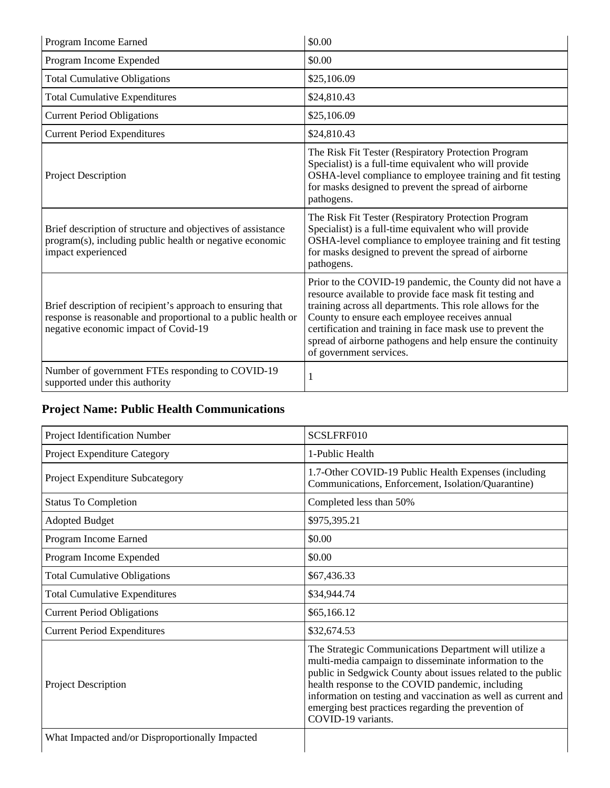| Program Income Earned                                                                                                                                               | \$0.00                                                                                                                                                                                                                                                                                                                                                                                      |
|---------------------------------------------------------------------------------------------------------------------------------------------------------------------|---------------------------------------------------------------------------------------------------------------------------------------------------------------------------------------------------------------------------------------------------------------------------------------------------------------------------------------------------------------------------------------------|
| Program Income Expended                                                                                                                                             | \$0.00                                                                                                                                                                                                                                                                                                                                                                                      |
| <b>Total Cumulative Obligations</b>                                                                                                                                 | \$25,106.09                                                                                                                                                                                                                                                                                                                                                                                 |
| <b>Total Cumulative Expenditures</b>                                                                                                                                | \$24,810.43                                                                                                                                                                                                                                                                                                                                                                                 |
| <b>Current Period Obligations</b>                                                                                                                                   | \$25,106.09                                                                                                                                                                                                                                                                                                                                                                                 |
| <b>Current Period Expenditures</b>                                                                                                                                  | \$24,810.43                                                                                                                                                                                                                                                                                                                                                                                 |
| <b>Project Description</b>                                                                                                                                          | The Risk Fit Tester (Respiratory Protection Program<br>Specialist) is a full-time equivalent who will provide<br>OSHA-level compliance to employee training and fit testing<br>for masks designed to prevent the spread of airborne<br>pathogens.                                                                                                                                           |
| Brief description of structure and objectives of assistance<br>program(s), including public health or negative economic<br>impact experienced                       | The Risk Fit Tester (Respiratory Protection Program<br>Specialist) is a full-time equivalent who will provide<br>OSHA-level compliance to employee training and fit testing<br>for masks designed to prevent the spread of airborne<br>pathogens.                                                                                                                                           |
| Brief description of recipient's approach to ensuring that<br>response is reasonable and proportional to a public health or<br>negative economic impact of Covid-19 | Prior to the COVID-19 pandemic, the County did not have a<br>resource available to provide face mask fit testing and<br>training across all departments. This role allows for the<br>County to ensure each employee receives annual<br>certification and training in face mask use to prevent the<br>spread of airborne pathogens and help ensure the continuity<br>of government services. |
| Number of government FTEs responding to COVID-19<br>supported under this authority                                                                                  | 1                                                                                                                                                                                                                                                                                                                                                                                           |

## **Project Name: Public Health Communications**

| Project Identification Number                   | SCSLFRF010                                                                                                                                                                                                                                                                                                                                                                         |
|-------------------------------------------------|------------------------------------------------------------------------------------------------------------------------------------------------------------------------------------------------------------------------------------------------------------------------------------------------------------------------------------------------------------------------------------|
| Project Expenditure Category                    | 1-Public Health                                                                                                                                                                                                                                                                                                                                                                    |
| Project Expenditure Subcategory                 | 1.7-Other COVID-19 Public Health Expenses (including<br>Communications, Enforcement, Isolation/Quarantine)                                                                                                                                                                                                                                                                         |
| <b>Status To Completion</b>                     | Completed less than 50%                                                                                                                                                                                                                                                                                                                                                            |
| <b>Adopted Budget</b>                           | \$975,395.21                                                                                                                                                                                                                                                                                                                                                                       |
| Program Income Earned                           | \$0.00                                                                                                                                                                                                                                                                                                                                                                             |
| Program Income Expended                         | \$0.00                                                                                                                                                                                                                                                                                                                                                                             |
| <b>Total Cumulative Obligations</b>             | \$67,436.33                                                                                                                                                                                                                                                                                                                                                                        |
| <b>Total Cumulative Expenditures</b>            | \$34,944.74                                                                                                                                                                                                                                                                                                                                                                        |
| <b>Current Period Obligations</b>               | \$65,166.12                                                                                                                                                                                                                                                                                                                                                                        |
| <b>Current Period Expenditures</b>              | \$32,674.53                                                                                                                                                                                                                                                                                                                                                                        |
| <b>Project Description</b>                      | The Strategic Communications Department will utilize a<br>multi-media campaign to disseminate information to the<br>public in Sedgwick County about issues related to the public<br>health response to the COVID pandemic, including<br>information on testing and vaccination as well as current and<br>emerging best practices regarding the prevention of<br>COVID-19 variants. |
| What Impacted and/or Disproportionally Impacted |                                                                                                                                                                                                                                                                                                                                                                                    |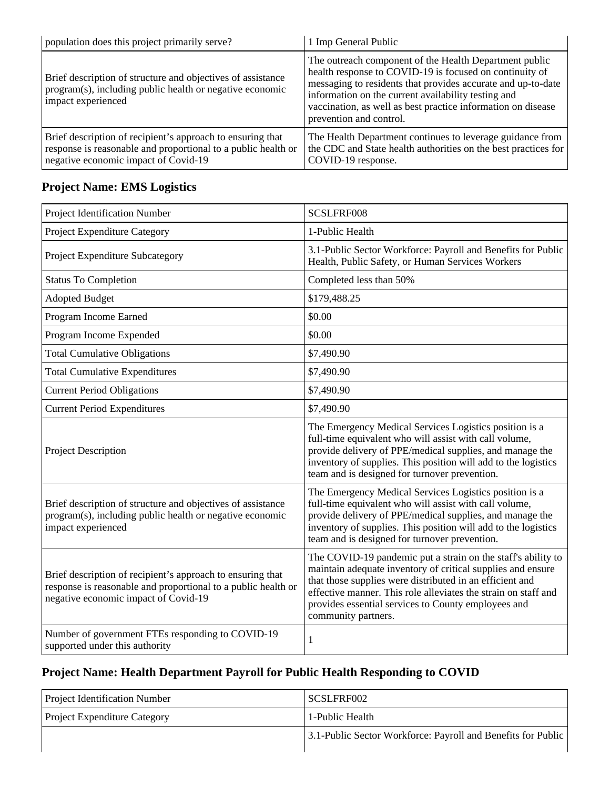| population does this project primarily serve?                                                                                                                       | 1 Imp General Public                                                                                                                                                                                                                                                                                                                |
|---------------------------------------------------------------------------------------------------------------------------------------------------------------------|-------------------------------------------------------------------------------------------------------------------------------------------------------------------------------------------------------------------------------------------------------------------------------------------------------------------------------------|
| Brief description of structure and objectives of assistance<br>program(s), including public health or negative economic<br>impact experienced                       | The outreach component of the Health Department public<br>health response to COVID-19 is focused on continuity of<br>messaging to residents that provides accurate and up-to-date<br>information on the current availability testing and<br>vaccination, as well as best practice information on disease<br>prevention and control. |
| Brief description of recipient's approach to ensuring that<br>response is reasonable and proportional to a public health or<br>negative economic impact of Covid-19 | The Health Department continues to leverage guidance from<br>the CDC and State health authorities on the best practices for<br>COVID-19 response.                                                                                                                                                                                   |

### **Project Name: EMS Logistics**

| Project Identification Number                                                                                                                                       | SCSLFRF008                                                                                                                                                                                                                                                                                                                              |
|---------------------------------------------------------------------------------------------------------------------------------------------------------------------|-----------------------------------------------------------------------------------------------------------------------------------------------------------------------------------------------------------------------------------------------------------------------------------------------------------------------------------------|
|                                                                                                                                                                     |                                                                                                                                                                                                                                                                                                                                         |
| Project Expenditure Category                                                                                                                                        | 1-Public Health                                                                                                                                                                                                                                                                                                                         |
| Project Expenditure Subcategory                                                                                                                                     | 3.1-Public Sector Workforce: Payroll and Benefits for Public<br>Health, Public Safety, or Human Services Workers                                                                                                                                                                                                                        |
| <b>Status To Completion</b>                                                                                                                                         | Completed less than 50%                                                                                                                                                                                                                                                                                                                 |
| <b>Adopted Budget</b>                                                                                                                                               | \$179,488.25                                                                                                                                                                                                                                                                                                                            |
| Program Income Earned                                                                                                                                               | \$0.00                                                                                                                                                                                                                                                                                                                                  |
| Program Income Expended                                                                                                                                             | \$0.00                                                                                                                                                                                                                                                                                                                                  |
| <b>Total Cumulative Obligations</b>                                                                                                                                 | \$7,490.90                                                                                                                                                                                                                                                                                                                              |
| <b>Total Cumulative Expenditures</b>                                                                                                                                | \$7,490.90                                                                                                                                                                                                                                                                                                                              |
| <b>Current Period Obligations</b>                                                                                                                                   | \$7,490.90                                                                                                                                                                                                                                                                                                                              |
| <b>Current Period Expenditures</b>                                                                                                                                  | \$7,490.90                                                                                                                                                                                                                                                                                                                              |
| Project Description                                                                                                                                                 | The Emergency Medical Services Logistics position is a<br>full-time equivalent who will assist with call volume,<br>provide delivery of PPE/medical supplies, and manage the<br>inventory of supplies. This position will add to the logistics<br>team and is designed for turnover prevention.                                         |
| Brief description of structure and objectives of assistance<br>program(s), including public health or negative economic<br>impact experienced                       | The Emergency Medical Services Logistics position is a<br>full-time equivalent who will assist with call volume,<br>provide delivery of PPE/medical supplies, and manage the<br>inventory of supplies. This position will add to the logistics<br>team and is designed for turnover prevention.                                         |
| Brief description of recipient's approach to ensuring that<br>response is reasonable and proportional to a public health or<br>negative economic impact of Covid-19 | The COVID-19 pandemic put a strain on the staff's ability to<br>maintain adequate inventory of critical supplies and ensure<br>that those supplies were distributed in an efficient and<br>effective manner. This role alleviates the strain on staff and<br>provides essential services to County employees and<br>community partners. |
| Number of government FTEs responding to COVID-19<br>supported under this authority                                                                                  | $\mathbf{1}$                                                                                                                                                                                                                                                                                                                            |

### **Project Name: Health Department Payroll for Public Health Responding to COVID**

| <b>Project Identification Number</b> | SCSLFRF002                                                   |
|--------------------------------------|--------------------------------------------------------------|
| <b>Project Expenditure Category</b>  | 1-Public Health                                              |
|                                      | 3.1-Public Sector Workforce: Payroll and Benefits for Public |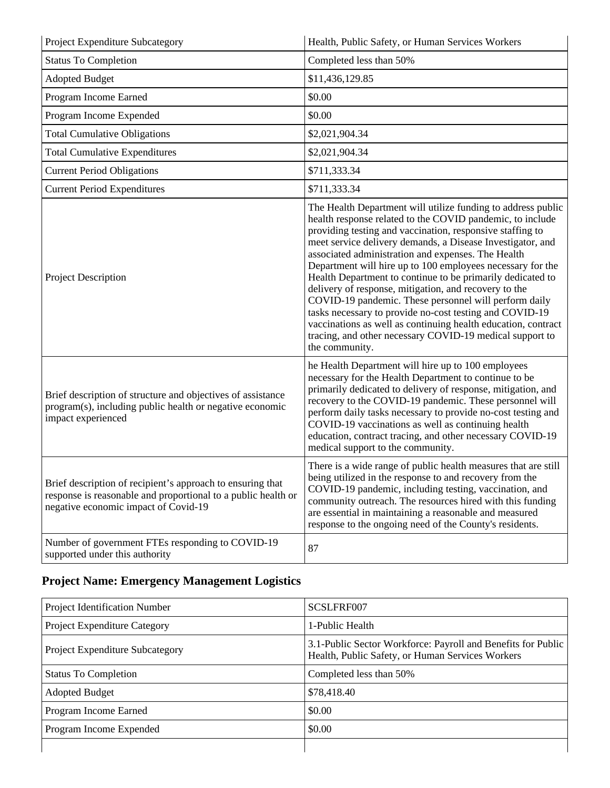| Project Expenditure Subcategory                                                                                                                                     | Health, Public Safety, or Human Services Workers                                                                                                                                                                                                                                                                                                                                                                                                                                                                                                                                                                                                                                                                                                                   |
|---------------------------------------------------------------------------------------------------------------------------------------------------------------------|--------------------------------------------------------------------------------------------------------------------------------------------------------------------------------------------------------------------------------------------------------------------------------------------------------------------------------------------------------------------------------------------------------------------------------------------------------------------------------------------------------------------------------------------------------------------------------------------------------------------------------------------------------------------------------------------------------------------------------------------------------------------|
| <b>Status To Completion</b>                                                                                                                                         | Completed less than 50%                                                                                                                                                                                                                                                                                                                                                                                                                                                                                                                                                                                                                                                                                                                                            |
| <b>Adopted Budget</b>                                                                                                                                               | \$11,436,129.85                                                                                                                                                                                                                                                                                                                                                                                                                                                                                                                                                                                                                                                                                                                                                    |
| Program Income Earned                                                                                                                                               | \$0.00                                                                                                                                                                                                                                                                                                                                                                                                                                                                                                                                                                                                                                                                                                                                                             |
| Program Income Expended                                                                                                                                             | \$0.00                                                                                                                                                                                                                                                                                                                                                                                                                                                                                                                                                                                                                                                                                                                                                             |
| <b>Total Cumulative Obligations</b>                                                                                                                                 | \$2,021,904.34                                                                                                                                                                                                                                                                                                                                                                                                                                                                                                                                                                                                                                                                                                                                                     |
| <b>Total Cumulative Expenditures</b>                                                                                                                                | \$2,021,904.34                                                                                                                                                                                                                                                                                                                                                                                                                                                                                                                                                                                                                                                                                                                                                     |
| <b>Current Period Obligations</b>                                                                                                                                   | \$711,333.34                                                                                                                                                                                                                                                                                                                                                                                                                                                                                                                                                                                                                                                                                                                                                       |
| <b>Current Period Expenditures</b>                                                                                                                                  | \$711,333.34                                                                                                                                                                                                                                                                                                                                                                                                                                                                                                                                                                                                                                                                                                                                                       |
| Project Description                                                                                                                                                 | The Health Department will utilize funding to address public<br>health response related to the COVID pandemic, to include<br>providing testing and vaccination, responsive staffing to<br>meet service delivery demands, a Disease Investigator, and<br>associated administration and expenses. The Health<br>Department will hire up to 100 employees necessary for the<br>Health Department to continue to be primarily dedicated to<br>delivery of response, mitigation, and recovery to the<br>COVID-19 pandemic. These personnel will perform daily<br>tasks necessary to provide no-cost testing and COVID-19<br>vaccinations as well as continuing health education, contract<br>tracing, and other necessary COVID-19 medical support to<br>the community. |
| Brief description of structure and objectives of assistance<br>program(s), including public health or negative economic<br>impact experienced                       | he Health Department will hire up to 100 employees<br>necessary for the Health Department to continue to be<br>primarily dedicated to delivery of response, mitigation, and<br>recovery to the COVID-19 pandemic. These personnel will<br>perform daily tasks necessary to provide no-cost testing and<br>COVID-19 vaccinations as well as continuing health<br>education, contract tracing, and other necessary COVID-19<br>medical support to the community.                                                                                                                                                                                                                                                                                                     |
| Brief description of recipient's approach to ensuring that<br>response is reasonable and proportional to a public health or<br>negative economic impact of Covid-19 | There is a wide range of public health measures that are still<br>being utilized in the response to and recovery from the<br>COVID-19 pandemic, including testing, vaccination, and<br>community outreach. The resources hired with this funding<br>are essential in maintaining a reasonable and measured<br>response to the ongoing need of the County's residents.                                                                                                                                                                                                                                                                                                                                                                                              |
| Number of government FTEs responding to COVID-19<br>supported under this authority                                                                                  | 87                                                                                                                                                                                                                                                                                                                                                                                                                                                                                                                                                                                                                                                                                                                                                                 |

## **Project Name: Emergency Management Logistics**

| <b>Project Identification Number</b> | SCSLFRF007                                                                                                       |
|--------------------------------------|------------------------------------------------------------------------------------------------------------------|
| Project Expenditure Category         | 1-Public Health                                                                                                  |
| Project Expenditure Subcategory      | 3.1-Public Sector Workforce: Payroll and Benefits for Public<br>Health, Public Safety, or Human Services Workers |
| <b>Status To Completion</b>          | Completed less than 50%                                                                                          |
| <b>Adopted Budget</b>                | \$78,418.40                                                                                                      |
| Program Income Earned                | \$0.00                                                                                                           |
| Program Income Expended              | \$0.00                                                                                                           |
|                                      |                                                                                                                  |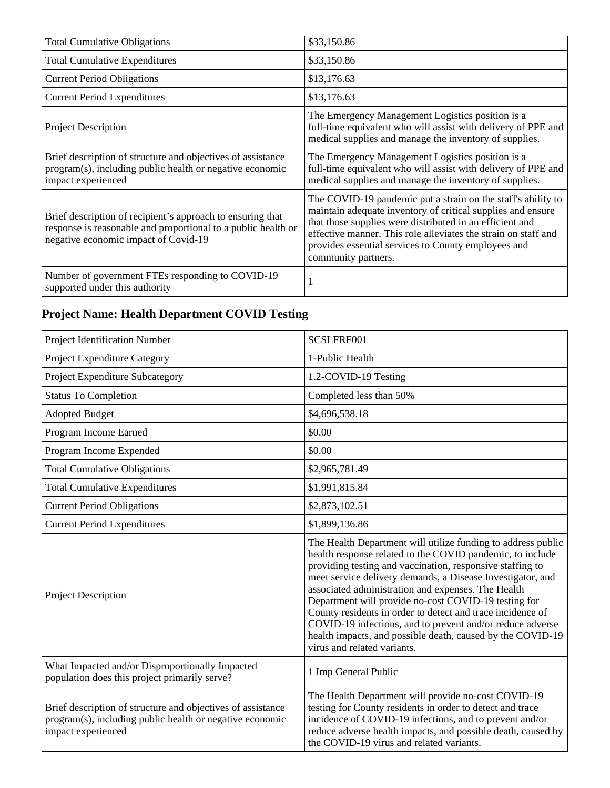| <b>Total Cumulative Obligations</b>                                                                                                                                 | \$33,150.86                                                                                                                                                                                                                                                                                                                             |
|---------------------------------------------------------------------------------------------------------------------------------------------------------------------|-----------------------------------------------------------------------------------------------------------------------------------------------------------------------------------------------------------------------------------------------------------------------------------------------------------------------------------------|
| <b>Total Cumulative Expenditures</b>                                                                                                                                | \$33,150.86                                                                                                                                                                                                                                                                                                                             |
| <b>Current Period Obligations</b>                                                                                                                                   | \$13,176.63                                                                                                                                                                                                                                                                                                                             |
| <b>Current Period Expenditures</b>                                                                                                                                  | \$13,176.63                                                                                                                                                                                                                                                                                                                             |
| <b>Project Description</b>                                                                                                                                          | The Emergency Management Logistics position is a<br>full-time equivalent who will assist with delivery of PPE and<br>medical supplies and manage the inventory of supplies.                                                                                                                                                             |
| Brief description of structure and objectives of assistance<br>program(s), including public health or negative economic<br>impact experienced                       | The Emergency Management Logistics position is a<br>full-time equivalent who will assist with delivery of PPE and<br>medical supplies and manage the inventory of supplies.                                                                                                                                                             |
| Brief description of recipient's approach to ensuring that<br>response is reasonable and proportional to a public health or<br>negative economic impact of Covid-19 | The COVID-19 pandemic put a strain on the staff's ability to<br>maintain adequate inventory of critical supplies and ensure<br>that those supplies were distributed in an efficient and<br>effective manner. This role alleviates the strain on staff and<br>provides essential services to County employees and<br>community partners. |
| Number of government FTEs responding to COVID-19<br>supported under this authority                                                                                  |                                                                                                                                                                                                                                                                                                                                         |

## **Project Name: Health Department COVID Testing**

| Project Identification Number                                                                                                                 | SCSLFRF001                                                                                                                                                                                                                                                                                                                                                                                                                                                                                                                                                                                 |
|-----------------------------------------------------------------------------------------------------------------------------------------------|--------------------------------------------------------------------------------------------------------------------------------------------------------------------------------------------------------------------------------------------------------------------------------------------------------------------------------------------------------------------------------------------------------------------------------------------------------------------------------------------------------------------------------------------------------------------------------------------|
| <b>Project Expenditure Category</b>                                                                                                           | 1-Public Health                                                                                                                                                                                                                                                                                                                                                                                                                                                                                                                                                                            |
| Project Expenditure Subcategory                                                                                                               | 1.2-COVID-19 Testing                                                                                                                                                                                                                                                                                                                                                                                                                                                                                                                                                                       |
| <b>Status To Completion</b>                                                                                                                   | Completed less than 50%                                                                                                                                                                                                                                                                                                                                                                                                                                                                                                                                                                    |
| <b>Adopted Budget</b>                                                                                                                         | \$4,696,538.18                                                                                                                                                                                                                                                                                                                                                                                                                                                                                                                                                                             |
| Program Income Earned                                                                                                                         | \$0.00                                                                                                                                                                                                                                                                                                                                                                                                                                                                                                                                                                                     |
| Program Income Expended                                                                                                                       | \$0.00                                                                                                                                                                                                                                                                                                                                                                                                                                                                                                                                                                                     |
| <b>Total Cumulative Obligations</b>                                                                                                           | \$2,965,781.49                                                                                                                                                                                                                                                                                                                                                                                                                                                                                                                                                                             |
| <b>Total Cumulative Expenditures</b>                                                                                                          | \$1,991,815.84                                                                                                                                                                                                                                                                                                                                                                                                                                                                                                                                                                             |
| <b>Current Period Obligations</b>                                                                                                             | \$2,873,102.51                                                                                                                                                                                                                                                                                                                                                                                                                                                                                                                                                                             |
| <b>Current Period Expenditures</b>                                                                                                            | \$1,899,136.86                                                                                                                                                                                                                                                                                                                                                                                                                                                                                                                                                                             |
| Project Description                                                                                                                           | The Health Department will utilize funding to address public<br>health response related to the COVID pandemic, to include<br>providing testing and vaccination, responsive staffing to<br>meet service delivery demands, a Disease Investigator, and<br>associated administration and expenses. The Health<br>Department will provide no-cost COVID-19 testing for<br>County residents in order to detect and trace incidence of<br>COVID-19 infections, and to prevent and/or reduce adverse<br>health impacts, and possible death, caused by the COVID-19<br>virus and related variants. |
| What Impacted and/or Disproportionally Impacted<br>population does this project primarily serve?                                              | 1 Imp General Public                                                                                                                                                                                                                                                                                                                                                                                                                                                                                                                                                                       |
| Brief description of structure and objectives of assistance<br>program(s), including public health or negative economic<br>impact experienced | The Health Department will provide no-cost COVID-19<br>testing for County residents in order to detect and trace<br>incidence of COVID-19 infections, and to prevent and/or<br>reduce adverse health impacts, and possible death, caused by<br>the COVID-19 virus and related variants.                                                                                                                                                                                                                                                                                                    |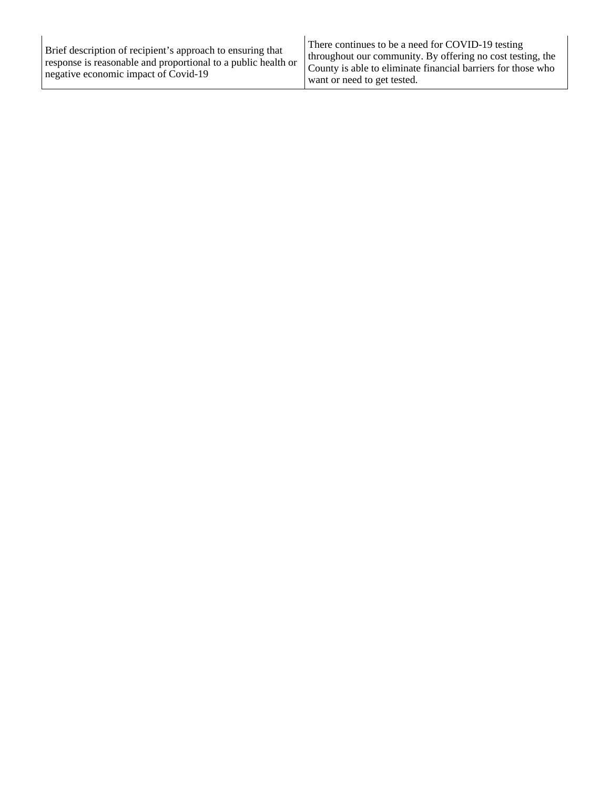| Brief description of recipient's approach to ensuring that<br>response is reasonable and proportional to a public health or<br>negative economic impact of Covid-19 | There continues to be a need for COVID-19 testing<br>throughout our community. By offering no cost testing, the<br>County is able to eliminate financial barriers for those who<br>want or need to get tested. |
|---------------------------------------------------------------------------------------------------------------------------------------------------------------------|----------------------------------------------------------------------------------------------------------------------------------------------------------------------------------------------------------------|
|---------------------------------------------------------------------------------------------------------------------------------------------------------------------|----------------------------------------------------------------------------------------------------------------------------------------------------------------------------------------------------------------|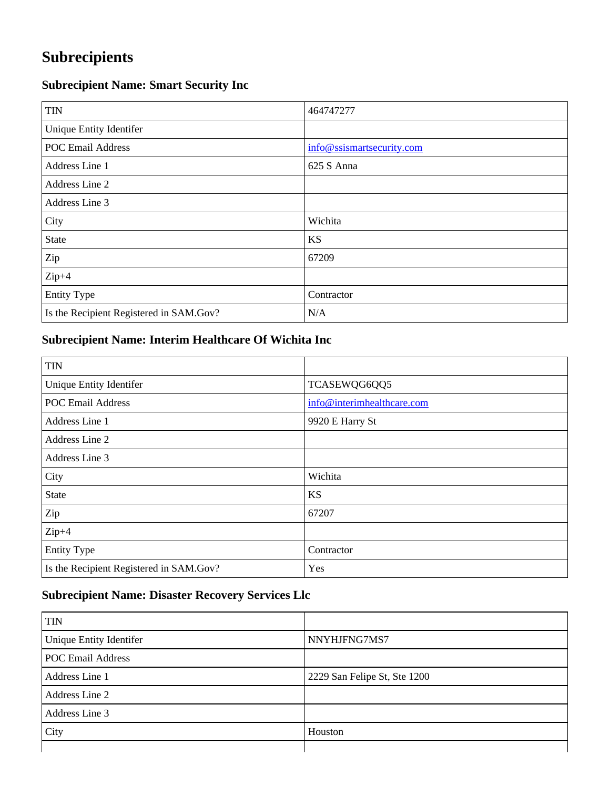## **Subrecipients**

## **Subrecipient Name: Smart Security Inc**

| <b>TIN</b>                              | 464747277                 |
|-----------------------------------------|---------------------------|
| Unique Entity Identifer                 |                           |
| <b>POC Email Address</b>                | info@ssismartsecurity.com |
| Address Line 1                          | 625 S Anna                |
| Address Line 2                          |                           |
| Address Line 3                          |                           |
| City                                    | Wichita                   |
| <b>State</b>                            | <b>KS</b>                 |
| Zip                                     | 67209                     |
| $Zip+4$                                 |                           |
| <b>Entity Type</b>                      | Contractor                |
| Is the Recipient Registered in SAM.Gov? | N/A                       |

### **Subrecipient Name: Interim Healthcare Of Wichita Inc**

| <b>TIN</b>                              |                            |
|-----------------------------------------|----------------------------|
| Unique Entity Identifer                 | TCASEWQG6QQ5               |
| <b>POC Email Address</b>                | info@interimhealthcare.com |
| Address Line 1                          | 9920 E Harry St            |
| Address Line 2                          |                            |
| Address Line 3                          |                            |
| City                                    | Wichita                    |
| <b>State</b>                            | <b>KS</b>                  |
| Zip                                     | 67207                      |
| $Zip+4$                                 |                            |
| <b>Entity Type</b>                      | Contractor                 |
| Is the Recipient Registered in SAM.Gov? | Yes                        |

### **Subrecipient Name: Disaster Recovery Services Llc**

| <b>TIN</b>               |                              |
|--------------------------|------------------------------|
| Unique Entity Identifer  | NNYHJFNG7MS7                 |
| <b>POC Email Address</b> |                              |
| Address Line 1           | 2229 San Felipe St, Ste 1200 |
| Address Line 2           |                              |
| Address Line 3           |                              |
| City                     | Houston                      |
|                          |                              |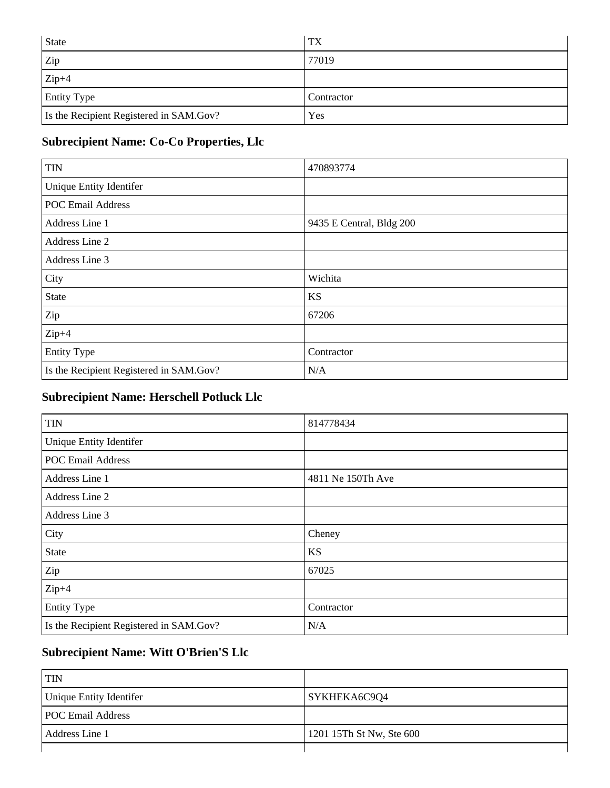| <b>State</b>                            | TX         |
|-----------------------------------------|------------|
| Zip                                     | 77019      |
| $Zip+4$                                 |            |
| <b>Entity Type</b>                      | Contractor |
| Is the Recipient Registered in SAM.Gov? | Yes        |

### **Subrecipient Name: Co-Co Properties, Llc**

| <b>TIN</b>                              | 470893774                |
|-----------------------------------------|--------------------------|
| Unique Entity Identifer                 |                          |
| <b>POC Email Address</b>                |                          |
| Address Line 1                          | 9435 E Central, Bldg 200 |
| Address Line 2                          |                          |
| Address Line 3                          |                          |
| City                                    | Wichita                  |
| <b>State</b>                            | <b>KS</b>                |
| Zip                                     | 67206                    |
| $Zip+4$                                 |                          |
| <b>Entity Type</b>                      | Contractor               |
| Is the Recipient Registered in SAM.Gov? | N/A                      |

### **Subrecipient Name: Herschell Potluck Llc**

| <b>TIN</b>                              | 814778434         |
|-----------------------------------------|-------------------|
| Unique Entity Identifer                 |                   |
| <b>POC Email Address</b>                |                   |
| Address Line 1                          | 4811 Ne 150Th Ave |
| Address Line 2                          |                   |
| Address Line 3                          |                   |
| City                                    | Cheney            |
| <b>State</b>                            | <b>KS</b>         |
| Zip                                     | 67025             |
| $Zip+4$                                 |                   |
| <b>Entity Type</b>                      | Contractor        |
| Is the Recipient Registered in SAM.Gov? | N/A               |

### **Subrecipient Name: Witt O'Brien'S Llc**

| <b>TIN</b>               |                          |
|--------------------------|--------------------------|
| Unique Entity Identifer  | SYKHEKA6C9Q4             |
| <b>POC Email Address</b> |                          |
| Address Line 1           | 1201 15Th St Nw, Ste 600 |
|                          |                          |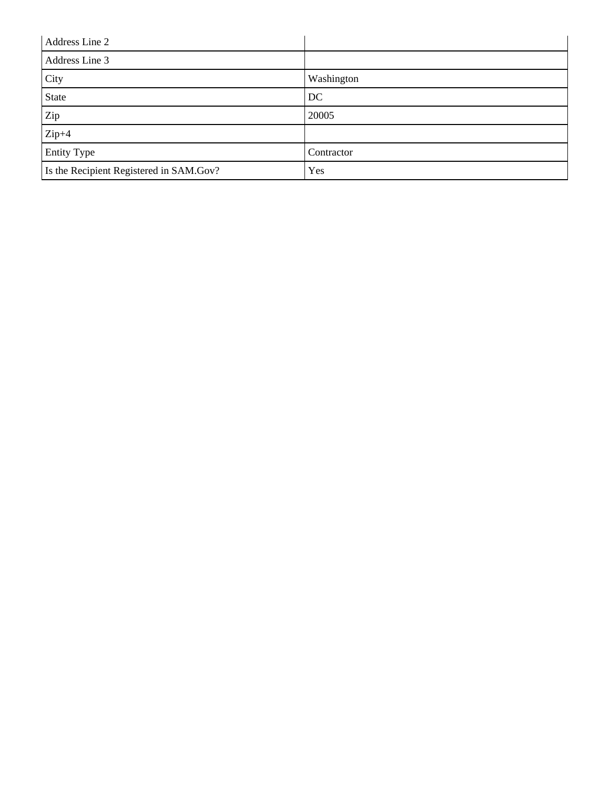| Address Line 2                          |            |
|-----------------------------------------|------------|
| Address Line 3                          |            |
| City                                    | Washington |
| State                                   | DC         |
| Zip                                     | 20005      |
| $Zip+4$                                 |            |
| <b>Entity Type</b>                      | Contractor |
| Is the Recipient Registered in SAM.Gov? | Yes        |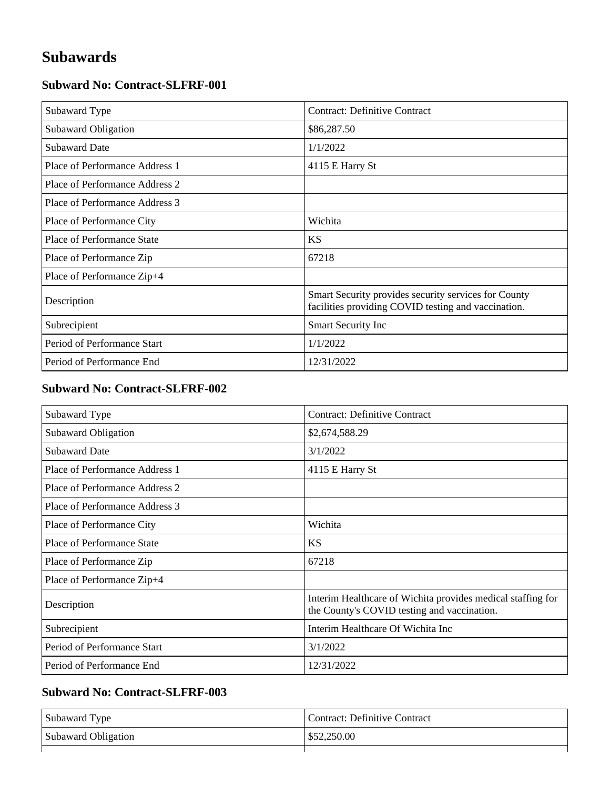## **Subawards**

#### **Subward No: Contract-SLFRF-001**

| Subaward Type                  | <b>Contract: Definitive Contract</b>                                                                        |
|--------------------------------|-------------------------------------------------------------------------------------------------------------|
| Subaward Obligation            | \$86,287.50                                                                                                 |
| <b>Subaward Date</b>           | 1/1/2022                                                                                                    |
| Place of Performance Address 1 | 4115 E Harry St                                                                                             |
| Place of Performance Address 2 |                                                                                                             |
| Place of Performance Address 3 |                                                                                                             |
| Place of Performance City      | Wichita                                                                                                     |
| Place of Performance State     | <b>KS</b>                                                                                                   |
| Place of Performance Zip       | 67218                                                                                                       |
| Place of Performance Zip+4     |                                                                                                             |
| Description                    | Smart Security provides security services for County<br>facilities providing COVID testing and vaccination. |
| Subrecipient                   | Smart Security Inc                                                                                          |
| Period of Performance Start    | 1/1/2022                                                                                                    |
| Period of Performance End      | 12/31/2022                                                                                                  |

#### **Subward No: Contract-SLFRF-002**

| Subaward Type                     | <b>Contract: Definitive Contract</b>                                                                       |
|-----------------------------------|------------------------------------------------------------------------------------------------------------|
| Subaward Obligation               | \$2,674,588.29                                                                                             |
| <b>Subaward Date</b>              | 3/1/2022                                                                                                   |
| Place of Performance Address 1    | 4115 E Harry St                                                                                            |
| Place of Performance Address 2    |                                                                                                            |
| Place of Performance Address 3    |                                                                                                            |
| Place of Performance City         | Wichita                                                                                                    |
| <b>Place of Performance State</b> | <b>KS</b>                                                                                                  |
| Place of Performance Zip          | 67218                                                                                                      |
| Place of Performance Zip+4        |                                                                                                            |
| Description                       | Interim Healthcare of Wichita provides medical staffing for<br>the County's COVID testing and vaccination. |
| Subrecipient                      | Interim Healthcare Of Wichita Inc                                                                          |
| Period of Performance Start       | 3/1/2022                                                                                                   |
| Period of Performance End         | 12/31/2022                                                                                                 |

### **Subward No: Contract-SLFRF-003**

| Subaward Type       | Contract: Definitive Contract |
|---------------------|-------------------------------|
| Subaward Obligation | \$52,250.00                   |
|                     |                               |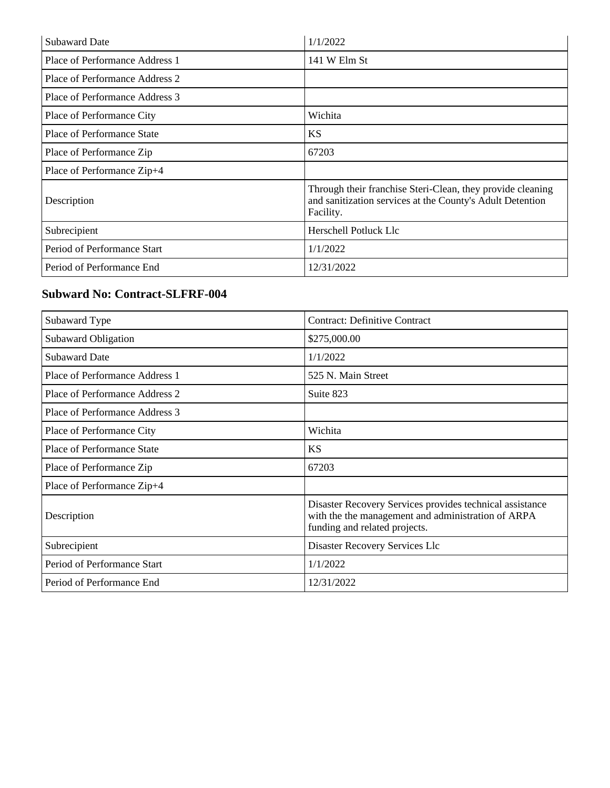| <b>Subaward Date</b>           | 1/1/2022                                                                                                                             |
|--------------------------------|--------------------------------------------------------------------------------------------------------------------------------------|
| Place of Performance Address 1 | 141 W Elm St                                                                                                                         |
| Place of Performance Address 2 |                                                                                                                                      |
| Place of Performance Address 3 |                                                                                                                                      |
| Place of Performance City      | Wichita                                                                                                                              |
| Place of Performance State     | <b>KS</b>                                                                                                                            |
| Place of Performance Zip       | 67203                                                                                                                                |
| Place of Performance Zip+4     |                                                                                                                                      |
| Description                    | Through their franchise Steri-Clean, they provide cleaning<br>and sanitization services at the County's Adult Detention<br>Facility. |
| Subrecipient                   | Herschell Potluck Llc                                                                                                                |
| Period of Performance Start    | 1/1/2022                                                                                                                             |
| Period of Performance End      | 12/31/2022                                                                                                                           |

#### **Subward No: Contract-SLFRF-004**

| Subaward Type                     | <b>Contract: Definitive Contract</b>                                                                                                            |
|-----------------------------------|-------------------------------------------------------------------------------------------------------------------------------------------------|
| Subaward Obligation               | \$275,000.00                                                                                                                                    |
| <b>Subaward Date</b>              | 1/1/2022                                                                                                                                        |
| Place of Performance Address 1    | 525 N. Main Street                                                                                                                              |
| Place of Performance Address 2    | Suite 823                                                                                                                                       |
| Place of Performance Address 3    |                                                                                                                                                 |
| Place of Performance City         | Wichita                                                                                                                                         |
| <b>Place of Performance State</b> | <b>KS</b>                                                                                                                                       |
| Place of Performance Zip          | 67203                                                                                                                                           |
| Place of Performance Zip+4        |                                                                                                                                                 |
| Description                       | Disaster Recovery Services provides technical assistance<br>with the the management and administration of ARPA<br>funding and related projects. |
| Subrecipient                      | Disaster Recovery Services Llc                                                                                                                  |
| Period of Performance Start       | 1/1/2022                                                                                                                                        |
| Period of Performance End         | 12/31/2022                                                                                                                                      |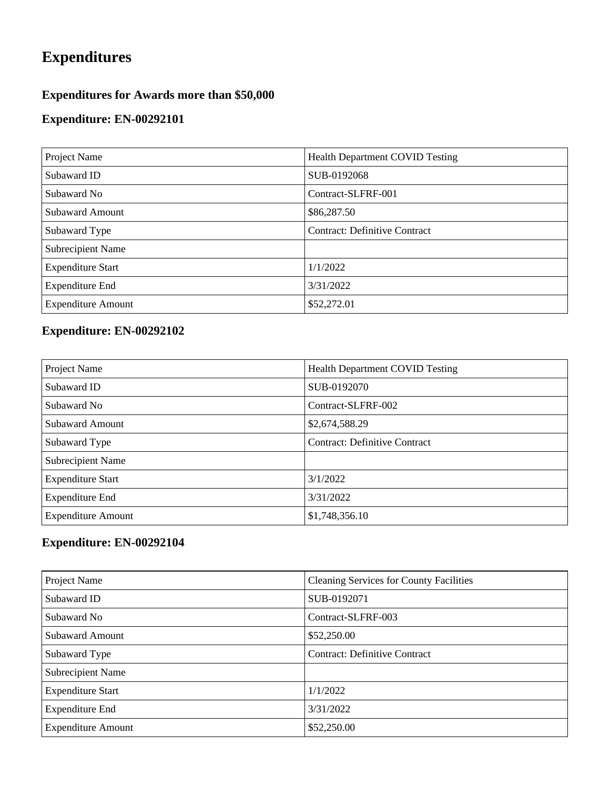## **Expenditures**

### **Expenditures for Awards more than \$50,000**

### **Expenditure: EN-00292101**

| Project Name              | <b>Health Department COVID Testing</b> |
|---------------------------|----------------------------------------|
| Subaward ID               | SUB-0192068                            |
| Subaward No               | Contract-SLFRF-001                     |
| <b>Subaward Amount</b>    | \$86,287.50                            |
| Subaward Type             | <b>Contract: Definitive Contract</b>   |
| <b>Subrecipient Name</b>  |                                        |
| <b>Expenditure Start</b>  | 1/1/2022                               |
| <b>Expenditure End</b>    | 3/31/2022                              |
| <b>Expenditure Amount</b> | \$52,272.01                            |

## **Expenditure: EN-00292102**

| Project Name              | <b>Health Department COVID Testing</b> |
|---------------------------|----------------------------------------|
| Subaward ID               | SUB-0192070                            |
| Subaward No               | Contract-SLFRF-002                     |
| <b>Subaward Amount</b>    | \$2,674,588.29                         |
| Subaward Type             | <b>Contract: Definitive Contract</b>   |
| <b>Subrecipient Name</b>  |                                        |
| <b>Expenditure Start</b>  | 3/1/2022                               |
| <b>Expenditure End</b>    | 3/31/2022                              |
| <b>Expenditure Amount</b> | \$1,748,356.10                         |

| Project Name              | <b>Cleaning Services for County Facilities</b> |
|---------------------------|------------------------------------------------|
| Subaward ID               | SUB-0192071                                    |
| Subaward No               | Contract-SLFRF-003                             |
| <b>Subaward Amount</b>    | \$52,250.00                                    |
| Subaward Type             | <b>Contract: Definitive Contract</b>           |
| Subrecipient Name         |                                                |
| <b>Expenditure Start</b>  | 1/1/2022                                       |
| <b>Expenditure End</b>    | 3/31/2022                                      |
| <b>Expenditure Amount</b> | \$52,250.00                                    |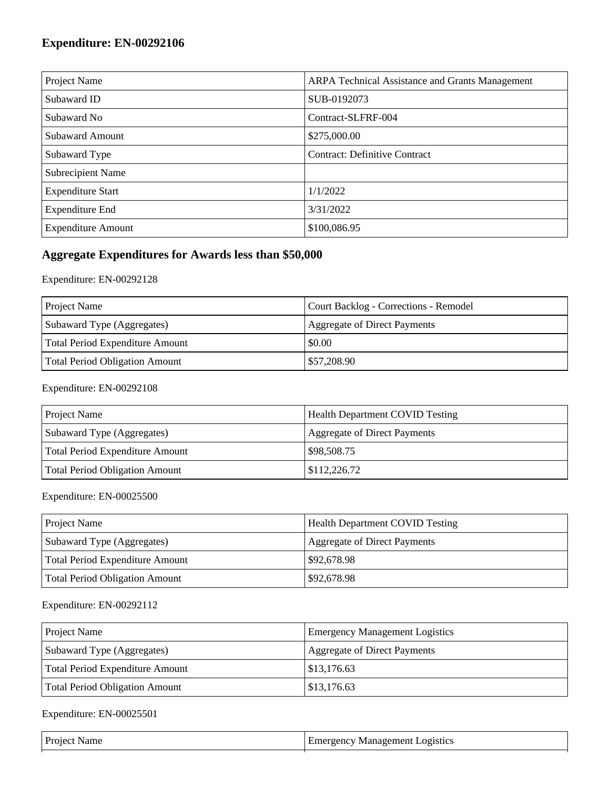| Project Name              | <b>ARPA Technical Assistance and Grants Management</b> |
|---------------------------|--------------------------------------------------------|
| Subaward ID               | SUB-0192073                                            |
| Subaward No               | Contract-SLFRF-004                                     |
| <b>Subaward Amount</b>    | \$275,000.00                                           |
| Subaward Type             | <b>Contract: Definitive Contract</b>                   |
| <b>Subrecipient Name</b>  |                                                        |
| <b>Expenditure Start</b>  | 1/1/2022                                               |
| <b>Expenditure End</b>    | 3/31/2022                                              |
| <b>Expenditure Amount</b> | \$100,086.95                                           |

### **Aggregate Expenditures for Awards less than \$50,000**

#### Expenditure: EN-00292128

| <b>Project Name</b>             | Court Backlog - Corrections - Remodel |
|---------------------------------|---------------------------------------|
| Subaward Type (Aggregates)      | <b>Aggregate of Direct Payments</b>   |
| Total Period Expenditure Amount | \$0.00                                |
| Total Period Obligation Amount  | \$57,208.90                           |

#### Expenditure: EN-00292108

| <b>Project Name</b>                   | <b>Health Department COVID Testing</b> |
|---------------------------------------|----------------------------------------|
| Subaward Type (Aggregates)            | Aggregate of Direct Payments           |
| Total Period Expenditure Amount       | \$98,508.75                            |
| <b>Total Period Obligation Amount</b> | \$112,226.72                           |

#### Expenditure: EN-00025500

| <b>Project Name</b>             | <b>Health Department COVID Testing</b> |
|---------------------------------|----------------------------------------|
| Subaward Type (Aggregates)      | Aggregate of Direct Payments           |
| Total Period Expenditure Amount | \$92,678.98                            |
| Total Period Obligation Amount  | \$92,678.98                            |

#### Expenditure: EN-00292112

| <b>Project Name</b>             | <b>Emergency Management Logistics</b> |
|---------------------------------|---------------------------------------|
| Subaward Type (Aggregates)      | Aggregate of Direct Payments          |
| Total Period Expenditure Amount | \$13,176.63                           |
| Total Period Obligation Amount  | \$13,176.63                           |

| Pro<br>чанн | <b>_OQ1SUCS</b><br>. не<br>w<br>÷nc<br>іянярн<br>.<br>. |
|-------------|---------------------------------------------------------|
|             |                                                         |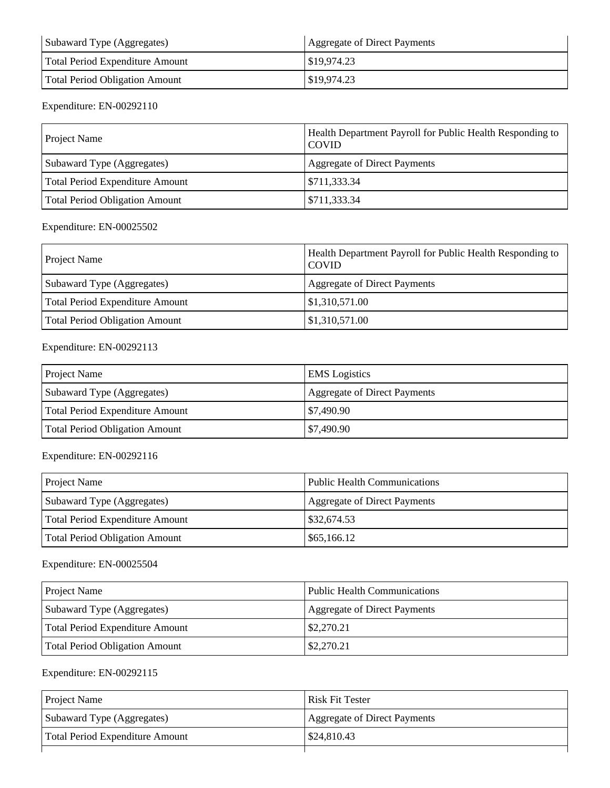| Subaward Type (Aggregates)      | Aggregate of Direct Payments |
|---------------------------------|------------------------------|
| Total Period Expenditure Amount | \$19,974.23                  |
| Total Period Obligation Amount  | \$19,974.23                  |

| <b>Project Name</b>             | <b>Health Department Payroll for Public Health Responding to</b><br><b>COVID</b> |
|---------------------------------|----------------------------------------------------------------------------------|
| Subaward Type (Aggregates)      | Aggregate of Direct Payments                                                     |
| Total Period Expenditure Amount | \$711,333.34                                                                     |
| Total Period Obligation Amount  | \$711,333.34                                                                     |

#### Expenditure: EN-00025502

| <b>Project Name</b>                   | Health Department Payroll for Public Health Responding to<br><b>COVID</b> |
|---------------------------------------|---------------------------------------------------------------------------|
| Subaward Type (Aggregates)            | <b>Aggregate of Direct Payments</b>                                       |
| Total Period Expenditure Amount       | \$1,310,571.00                                                            |
| <b>Total Period Obligation Amount</b> | \$1,310,571.00                                                            |

#### Expenditure: EN-00292113

| <b>Project Name</b>                   | <b>EMS</b> Logistics         |
|---------------------------------------|------------------------------|
| Subaward Type (Aggregates)            | Aggregate of Direct Payments |
| Total Period Expenditure Amount       | $\frac{$7,490.90}{ }$        |
| <b>Total Period Obligation Amount</b> | \$7,490.90                   |

#### Expenditure: EN-00292116

| <b>Project Name</b>             | <b>Public Health Communications</b> |
|---------------------------------|-------------------------------------|
| Subaward Type (Aggregates)      | Aggregate of Direct Payments        |
| Total Period Expenditure Amount | \$32,674.53                         |
| Total Period Obligation Amount  | \$65,166.12                         |

#### Expenditure: EN-00025504

| <b>Project Name</b>             | <b>Public Health Communications</b> |
|---------------------------------|-------------------------------------|
| Subaward Type (Aggregates)      | <b>Aggregate of Direct Payments</b> |
| Total Period Expenditure Amount | \$2,270.21                          |
| Total Period Obligation Amount  | \$2,270.21                          |

| <b>Project Name</b>             | <b>Risk Fit Tester</b>       |
|---------------------------------|------------------------------|
| Subaward Type (Aggregates)      | Aggregate of Direct Payments |
| Total Period Expenditure Amount | \$24,810.43                  |
|                                 |                              |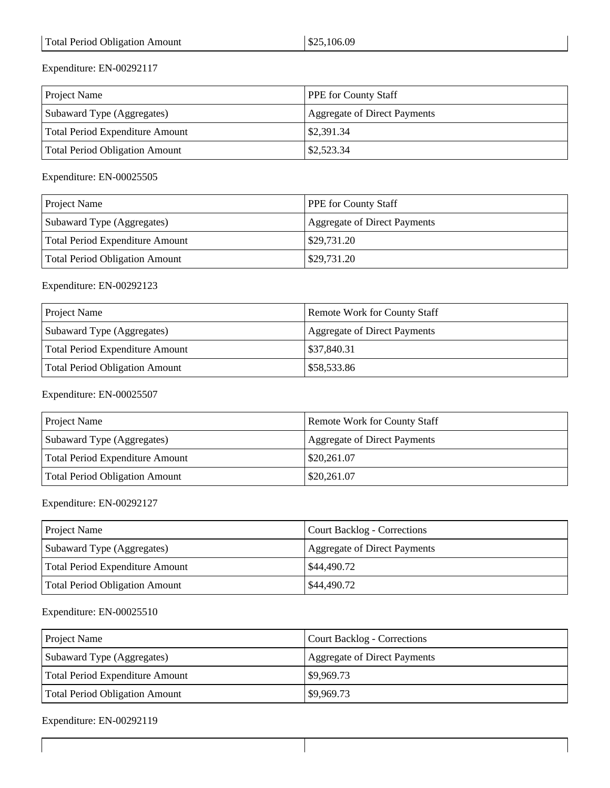| <b>Project Name</b>             | <b>PPE</b> for County Staff  |
|---------------------------------|------------------------------|
| Subaward Type (Aggregates)      | Aggregate of Direct Payments |
| Total Period Expenditure Amount | \$2,391.34                   |
| Total Period Obligation Amount  | \$2,523.34                   |

Expenditure: EN-00025505

| <b>Project Name</b>             | <b>PPE</b> for County Staff         |
|---------------------------------|-------------------------------------|
| Subaward Type (Aggregates)      | <b>Aggregate of Direct Payments</b> |
| Total Period Expenditure Amount | \$29,731.20                         |
| Total Period Obligation Amount  | \$29,731.20                         |

#### Expenditure: EN-00292123

| <b>Project Name</b>             | <b>Remote Work for County Staff</b> |
|---------------------------------|-------------------------------------|
| Subaward Type (Aggregates)      | Aggregate of Direct Payments        |
| Total Period Expenditure Amount | \$37,840.31                         |
| Total Period Obligation Amount  | \$58,533.86                         |

#### Expenditure: EN-00025507

| <b>Project Name</b>             | <b>Remote Work for County Staff</b> |
|---------------------------------|-------------------------------------|
| Subaward Type (Aggregates)      | Aggregate of Direct Payments        |
| Total Period Expenditure Amount | $\frac{1}{2}$ \$20,261.07           |
| Total Period Obligation Amount  | \$20,261.07                         |

#### Expenditure: EN-00292127

| <b>Project Name</b>             | Court Backlog - Corrections  |
|---------------------------------|------------------------------|
| Subaward Type (Aggregates)      | Aggregate of Direct Payments |
| Total Period Expenditure Amount | $\frac{1}{2}$ \$44,490.72    |
| Total Period Obligation Amount  | \$44,490.72                  |

#### Expenditure: EN-00025510

| <b>Project Name</b>             | Court Backlog - Corrections  |
|---------------------------------|------------------------------|
| Subaward Type (Aggregates)      | Aggregate of Direct Payments |
| Total Period Expenditure Amount | \$9,969.73                   |
| Total Period Obligation Amount  | \$9,969.73                   |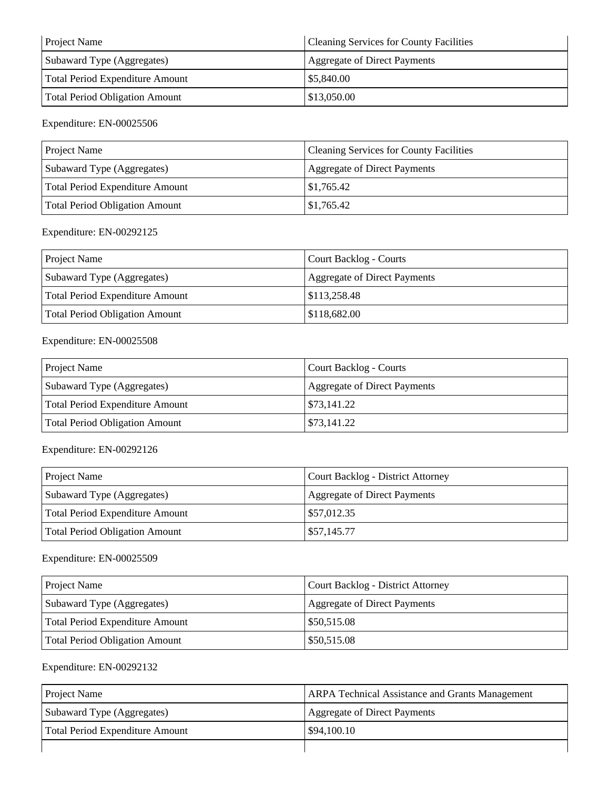| <b>Project Name</b>             | <b>Cleaning Services for County Facilities</b> |
|---------------------------------|------------------------------------------------|
| Subaward Type (Aggregates)      | Aggregate of Direct Payments                   |
| Total Period Expenditure Amount | \$5,840.00                                     |
| Total Period Obligation Amount  | \$13,050.00                                    |

| <b>Project Name</b>             | <b>Cleaning Services for County Facilities</b> |
|---------------------------------|------------------------------------------------|
| Subaward Type (Aggregates)      | Aggregate of Direct Payments                   |
| Total Period Expenditure Amount | \$1,765.42                                     |
| Total Period Obligation Amount  | \$1,765.42                                     |

#### Expenditure: EN-00292125

| <b>Project Name</b>             | Court Backlog - Courts              |
|---------------------------------|-------------------------------------|
| Subaward Type (Aggregates)      | <b>Aggregate of Direct Payments</b> |
| Total Period Expenditure Amount | \$113,258.48                        |
| Total Period Obligation Amount  | \$118,682.00                        |

#### Expenditure: EN-00025508

| <b>Project Name</b>             | Court Backlog - Courts       |
|---------------------------------|------------------------------|
| Subaward Type (Aggregates)      | Aggregate of Direct Payments |
| Total Period Expenditure Amount | \$73,141.22                  |
| Total Period Obligation Amount  | \$73,141.22                  |

#### Expenditure: EN-00292126

| <b>Project Name</b>             | Court Backlog - District Attorney   |
|---------------------------------|-------------------------------------|
| Subaward Type (Aggregates)      | <b>Aggregate of Direct Payments</b> |
| Total Period Expenditure Amount | $\frac{$57,012.35}{ }$              |
| Total Period Obligation Amount  | \$57,145.77                         |

#### Expenditure: EN-00025509

| <b>Project Name</b>             | <b>Court Backlog - District Attorney</b> |
|---------------------------------|------------------------------------------|
| Subaward Type (Aggregates)      | Aggregate of Direct Payments             |
| Total Period Expenditure Amount | \$50,515.08                              |
| Total Period Obligation Amount  | \$50,515.08                              |

| <b>Project Name</b>             | <b>ARPA Technical Assistance and Grants Management</b> |
|---------------------------------|--------------------------------------------------------|
| Subaward Type (Aggregates)      | <b>Aggregate of Direct Payments</b>                    |
| Total Period Expenditure Amount | \$94,100.10                                            |
|                                 |                                                        |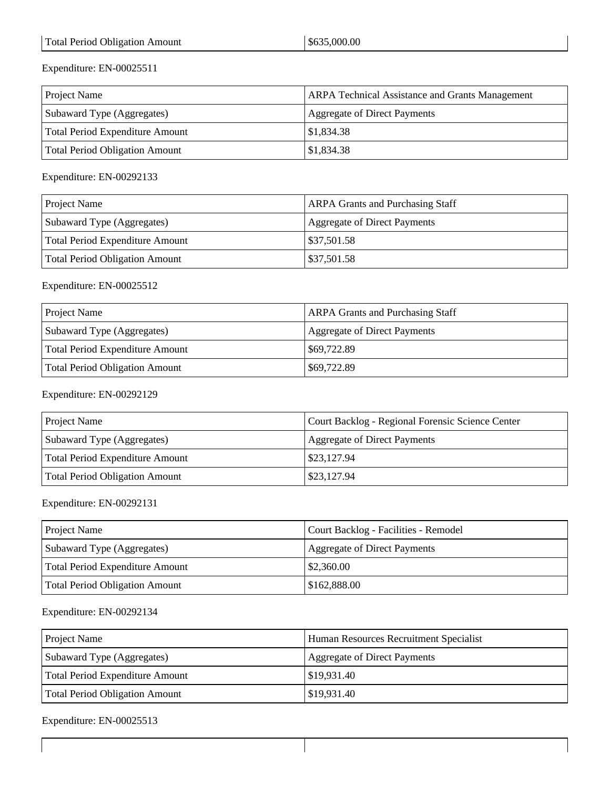| <b>Project Name</b>             | <b>ARPA Technical Assistance and Grants Management</b> |
|---------------------------------|--------------------------------------------------------|
| Subaward Type (Aggregates)      | <b>Aggregate of Direct Payments</b>                    |
| Total Period Expenditure Amount | \$1,834.38                                             |
| Total Period Obligation Amount  | \$1,834.38                                             |

Expenditure: EN-00292133

| <b>Project Name</b>             | <b>ARPA Grants and Purchasing Staff</b> |
|---------------------------------|-----------------------------------------|
| Subaward Type (Aggregates)      | <b>Aggregate of Direct Payments</b>     |
| Total Period Expenditure Amount | \$37,501.58                             |
| Total Period Obligation Amount  | \$37,501.58                             |

#### Expenditure: EN-00025512

| <b>Project Name</b>             | <b>ARPA Grants and Purchasing Staff</b> |
|---------------------------------|-----------------------------------------|
| Subaward Type (Aggregates)      | <b>Aggregate of Direct Payments</b>     |
| Total Period Expenditure Amount | \$69,722.89                             |
| Total Period Obligation Amount  | \$69,722.89                             |

#### Expenditure: EN-00292129

| <b>Project Name</b>             | Court Backlog - Regional Forensic Science Center |
|---------------------------------|--------------------------------------------------|
| Subaward Type (Aggregates)      | Aggregate of Direct Payments                     |
| Total Period Expenditure Amount | $\frac{1}{2}$ \$23,127.94                        |
| Total Period Obligation Amount  | \$23,127.94                                      |

#### Expenditure: EN-00292131

| <b>Project Name</b>             | Court Backlog - Facilities - Remodel |
|---------------------------------|--------------------------------------|
| Subaward Type (Aggregates)      | Aggregate of Direct Payments         |
| Total Period Expenditure Amount | $\frac{$2,360.00}{ }$                |
| Total Period Obligation Amount  | \$162,888.00                         |

#### Expenditure: EN-00292134

| <b>Project Name</b>             | Human Resources Recruitment Specialist |
|---------------------------------|----------------------------------------|
| Subaward Type (Aggregates)      | Aggregate of Direct Payments           |
| Total Period Expenditure Amount | \$19,931.40                            |
| Total Period Obligation Amount  | \$19,931.40                            |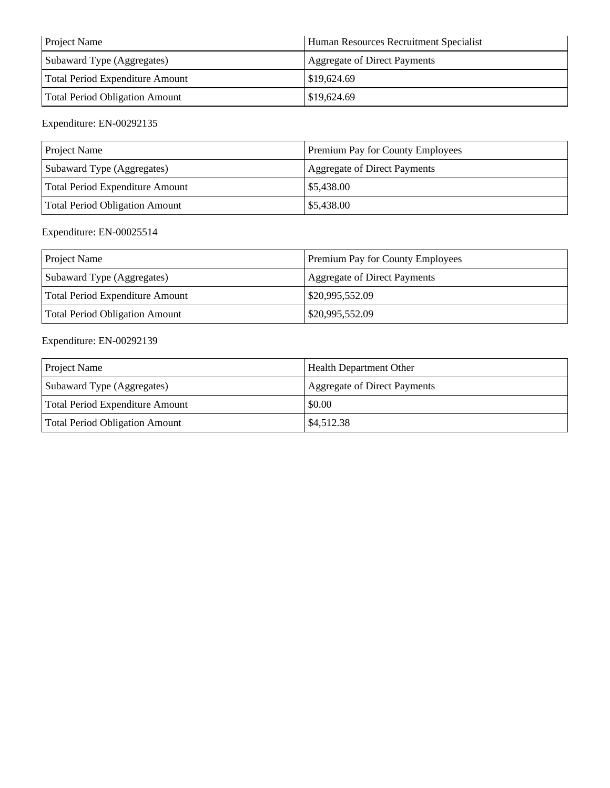| <b>Project Name</b>             | Human Resources Recruitment Specialist |
|---------------------------------|----------------------------------------|
| Subaward Type (Aggregates)      | Aggregate of Direct Payments           |
| Total Period Expenditure Amount | \$19,624.69                            |
| Total Period Obligation Amount  | \$19,624.69                            |

| <b>Project Name</b>             | Premium Pay for County Employees |
|---------------------------------|----------------------------------|
| Subaward Type (Aggregates)      | Aggregate of Direct Payments     |
| Total Period Expenditure Amount | \$5,438.00                       |
| Total Period Obligation Amount  | \$5,438.00                       |

### Expenditure: EN-00025514

| <b>Project Name</b>             | Premium Pay for County Employees    |
|---------------------------------|-------------------------------------|
| Subaward Type (Aggregates)      | <b>Aggregate of Direct Payments</b> |
| Total Period Expenditure Amount | \$20,995,552.09                     |
| Total Period Obligation Amount  | \$20,995,552.09                     |

| <b>Project Name</b>                   | <b>Health Department Other</b> |
|---------------------------------------|--------------------------------|
| Subaward Type (Aggregates)            | Aggregate of Direct Payments   |
| Total Period Expenditure Amount       | \$0.00                         |
| <b>Total Period Obligation Amount</b> | $\frac{$4,512.38}{ }$          |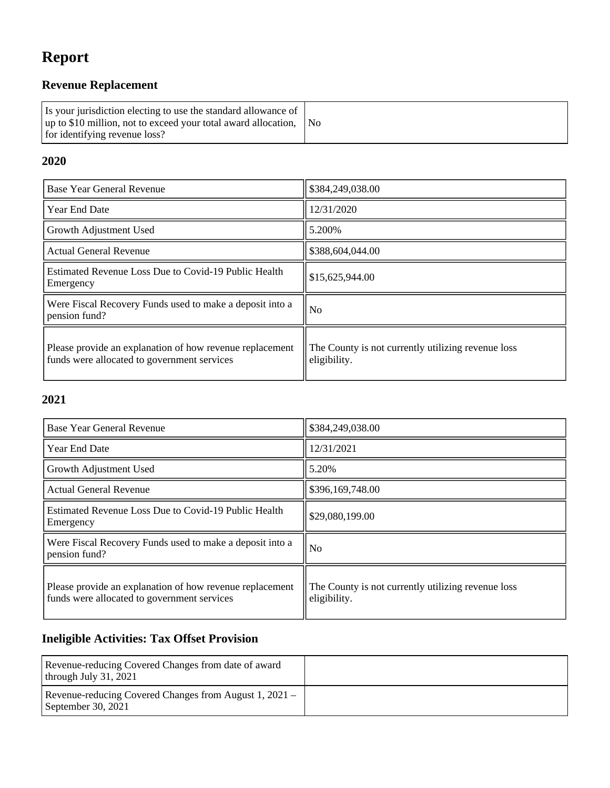# **Report**

## **Revenue Replacement**

| Is your jurisdiction electing to use the standard allowance of<br>$\mu$ up to \$10 million, not to exceed your total award allocation, $\Delta$ No<br>for identifying revenue loss? |  |
|-------------------------------------------------------------------------------------------------------------------------------------------------------------------------------------|--|
|-------------------------------------------------------------------------------------------------------------------------------------------------------------------------------------|--|

### **2020**

| Base Year General Revenue                                                                               | \$384,249,038.00                                                   |
|---------------------------------------------------------------------------------------------------------|--------------------------------------------------------------------|
| <b>Year End Date</b>                                                                                    | 12/31/2020                                                         |
| Growth Adjustment Used                                                                                  | 5.200%                                                             |
| <b>Actual General Revenue</b>                                                                           | \$388,604,044.00                                                   |
| Estimated Revenue Loss Due to Covid-19 Public Health<br>Emergency                                       | \$15,625,944.00                                                    |
| Were Fiscal Recovery Funds used to make a deposit into a<br>pension fund?                               | N <sub>0</sub>                                                     |
| Please provide an explanation of how revenue replacement<br>funds were allocated to government services | The County is not currently utilizing revenue loss<br>eligibility. |

#### **2021**

| Base Year General Revenue                                                                               | \$384,249,038.00                                                   |
|---------------------------------------------------------------------------------------------------------|--------------------------------------------------------------------|
| <b>Year End Date</b>                                                                                    | 12/31/2021                                                         |
| Growth Adjustment Used                                                                                  | 5.20%                                                              |
| <b>Actual General Revenue</b>                                                                           | \$396,169,748.00                                                   |
| Estimated Revenue Loss Due to Covid-19 Public Health<br>Emergency                                       | \$29,080,199.00                                                    |
| Were Fiscal Recovery Funds used to make a deposit into a<br>pension fund?                               | N <sub>o</sub>                                                     |
| Please provide an explanation of how revenue replacement<br>funds were allocated to government services | The County is not currently utilizing revenue loss<br>eligibility. |

## **Ineligible Activities: Tax Offset Provision**

| Revenue-reducing Covered Changes from date of award<br>through July $31, 2021$ |  |
|--------------------------------------------------------------------------------|--|
| Revenue-reducing Covered Changes from August 1, 2021 –<br>September 30, 2021   |  |